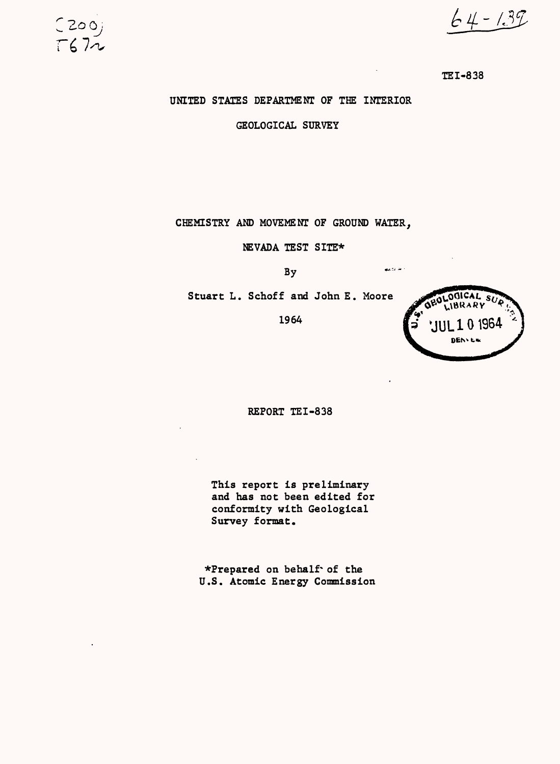$64 - 1.39$ 



UNITED STATES DEPARTMENT OF THE INTERIOR

200;

 $T672$ 

GEOLOGICAL SURVEY

CHEMISTRY AND MOVEMENT OF GROUND WATER,

NEVADA TEST SITE\*

 $\overline{\text{Bv}}$  . The set of  $\overline{\text{Bv}}$ 

Stuart L. Schoff and John E. Moore

1964



REPORT TEI-838

This report is preliminary and has not been edited for conformity with Geological Survey format.

^Prepared on behalf\*of the U.S. Atomic Energy Commission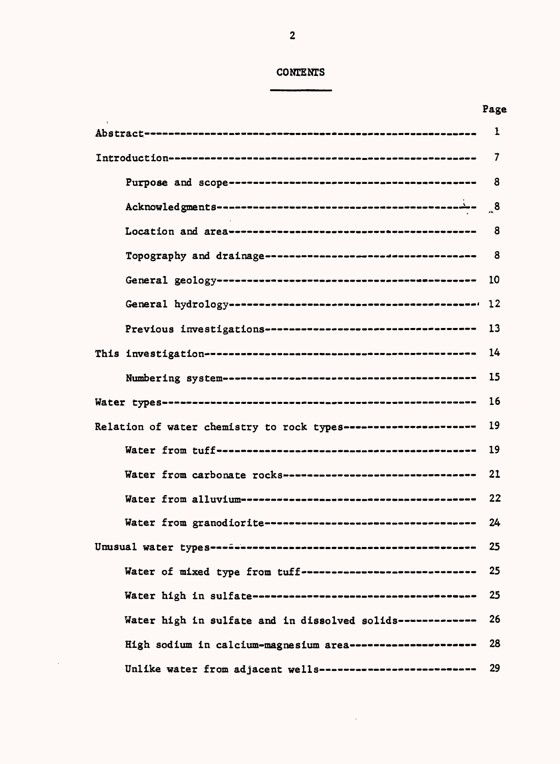# **CONTENTS**

| . | M.<br>۰. |
|---|----------|
|---|----------|

|                                                                | $\mathbf{1}$   |
|----------------------------------------------------------------|----------------|
|                                                                | $\overline{7}$ |
|                                                                | 8              |
|                                                                | $^{\circ}$ .8  |
|                                                                | 8              |
|                                                                |                |
|                                                                | 10             |
|                                                                |                |
| Previous investigations-----------------------------------     | 13             |
|                                                                | 14             |
|                                                                | 15             |
|                                                                | 16             |
| Relation of water chemistry to rock types--------------------- | 19             |
|                                                                | 19             |
| Water from carbonate rocks----------------------------------   | 21             |
|                                                                | 22             |
| Water from granodiorite-----------------------------------     | 24             |
| Unusual water types-a-docorresessessessessessessessessessesses | 25             |
| Water of mixed type from tuff-----------------------------     | 25             |
|                                                                | 25             |
| Water high in sulfate and in dissolved solids-------------     | 26             |
| High sodium in calcium-magnesium area ---------------------    | 28             |
| Unlike water from adjacent wells--------------------------     | 29             |

 $\sim 10^{-1}$ 

 $\sim 10^7$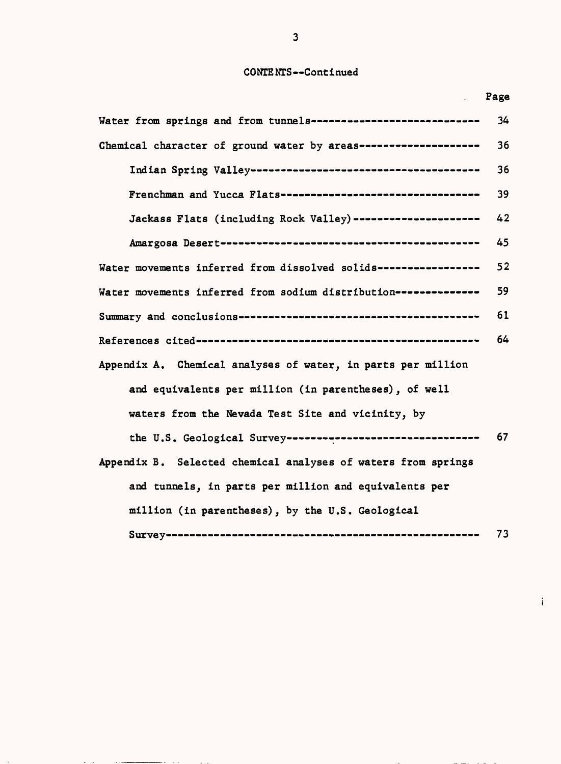# CONTENTS--Continued

Page

 $\mathbf{i}$ 

والسوار المد

 $\bar{\Delta}$ 

| Water from springs and from tunnels----------------------------  | 34 |
|------------------------------------------------------------------|----|
| Chemical character of ground water by areas--------------------  | 36 |
|                                                                  | 36 |
| Frenchman and Yucca Flats---------------------------------       | 39 |
| Jackass Flats (including Rock Valley) ---------------------      | 42 |
|                                                                  | 45 |
| Water movements inferred from dissolved solids----------------   | 52 |
| Water movements inferred from sodium distribution -------------- | 59 |
|                                                                  | 61 |
|                                                                  | 64 |
| Appendix A. Chemical analyses of water, in parts per million     |    |
| and equivalents per million (in parentheses), of well            |    |
| waters from the Nevada Test Site and vicinity, by                |    |
| the U.S. Geological Survey---------------------------------      | 67 |
| Appendix B. Selected chemical analyses of waters from springs    |    |
| and tunnels, in parts per million and equivalents per            |    |
| million (in parentheses), by the U.S. Geological                 |    |
|                                                                  | 73 |

 $\sim$ 

**Service** 

مساوي المر

الموارد المست

 $\sim$   $\sim$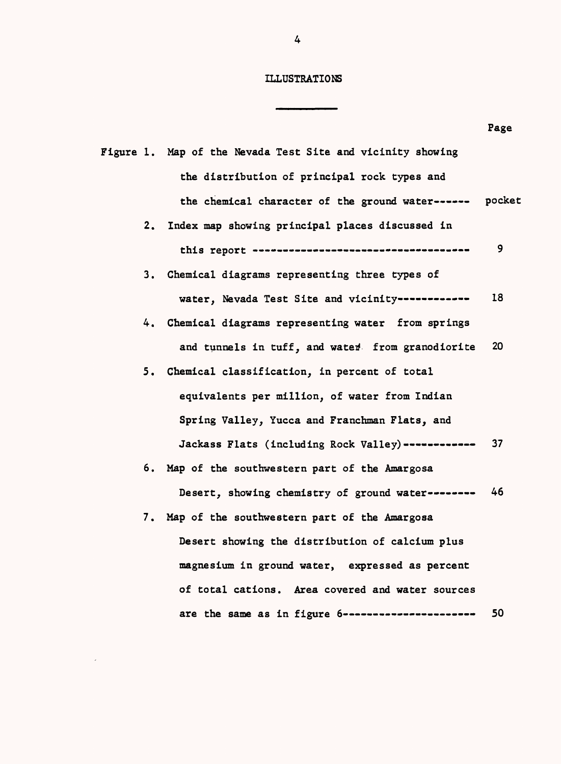## ILLUSTRATIONS

Ĭ.

L

|    |                                                            | Page |
|----|------------------------------------------------------------|------|
|    | Figure 1. Map of the Nevada Test Site and vicinity showing |      |
|    | the distribution of principal rock types and               |      |
|    | the chemical character of the ground water------ pocket    |      |
| 2. | Index map showing principal places discussed in            |      |
|    |                                                            | 9.   |
|    | 3. Chemical diagrams representing three types of           |      |
|    | water, Nevada Test Site and vicinity------------           | 18   |
| 4. | Chemical diagrams representing water from springs          |      |
|    | and tunnels in tuff, and water from granodiorite           | 20   |
|    | 5. Chemical classification, in percent of total            |      |
|    | equivalents per million, of water from Indian              |      |
|    | Spring Valley, Yucca and Franchman Flats, and              |      |
|    | Jackass Flats (including Rock Valley)------------          | 37   |
|    | 6. Map of the southwestern part of the Amargosa            |      |
|    | Desert, showing chemistry of ground water--------          | 46   |
|    | 7. Map of the southwestern part of the Amargosa            |      |
|    | Desert showing the distribution of calcium plus            |      |
|    | magnesium in ground water, expressed as percent            |      |
|    | of total cations. Area covered and water sources           |      |
|    | are the same as in figure 6----------------------          | 50   |

 $\sim 10^{11}$ 

 $\overline{4}$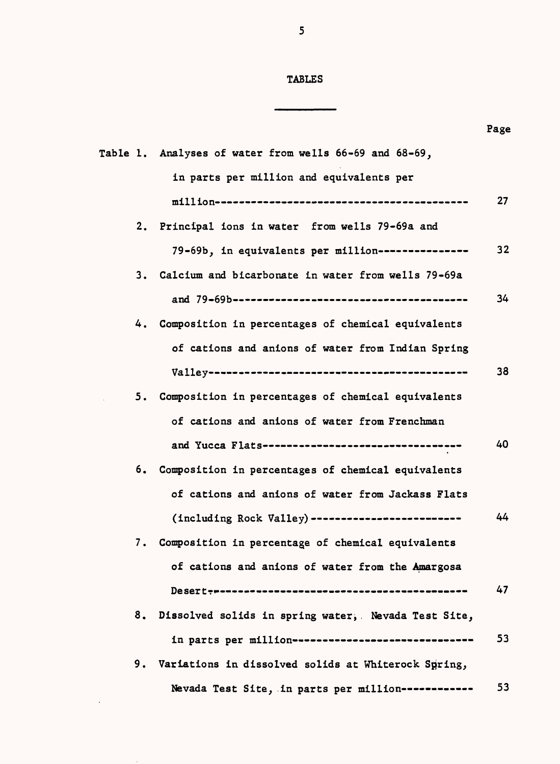# TABLES

|    |                                                                                                         | Page |
|----|---------------------------------------------------------------------------------------------------------|------|
|    | Table 1. Analyses of water from wells 66-69 and 68-69,                                                  |      |
|    | in parts per million and equivalents per                                                                |      |
|    | $\texttt{min}$ $\texttt{min}$ . The consequence of the consequence of the consequence of $\texttt{min}$ | 27   |
|    | 2. Principal ions in water from wells 79-69a and                                                        |      |
|    | 79-69b, in equivalents per million---------------                                                       | 32   |
| 3. | Calcium and bicarbonate in water from wells 79-69a                                                      |      |
|    |                                                                                                         | 34   |
|    | 4. Composition in percentages of chemical equivalents                                                   |      |
|    | of cations and anions of water from Indian Spring                                                       |      |
|    | $\text{Value}$                                                                                          | 38   |
|    | 5. Composition in percentages of chemical equivalents                                                   |      |
|    | of cations and anions of water from Frenchman                                                           |      |
|    | and Yucca Flats---------------------------------                                                        | 40   |
|    | 6. Composition in percentages of chemical equivalents                                                   |      |
|    | of cations and anions of water from Jackass Flats                                                       |      |
|    | (including Rock Valley) -------------------------                                                       | 44   |
| 7. | Composition in percentage of chemical equivalents                                                       |      |
|    | of cations and anions of water from the Amargosa                                                        |      |
|    |                                                                                                         | 47   |
|    | 8. Dissolved solids in spring water, Nevada Test Site,                                                  |      |
|    | in parts per million------------------------------                                                      | 53   |
|    | 9. Variations in dissolved solids at Whiterock Spring,                                                  |      |
|    | Nevada Test Site, in parts per million------------                                                      | 53   |

 $\sim 10^{-11}$ 

 $\sim$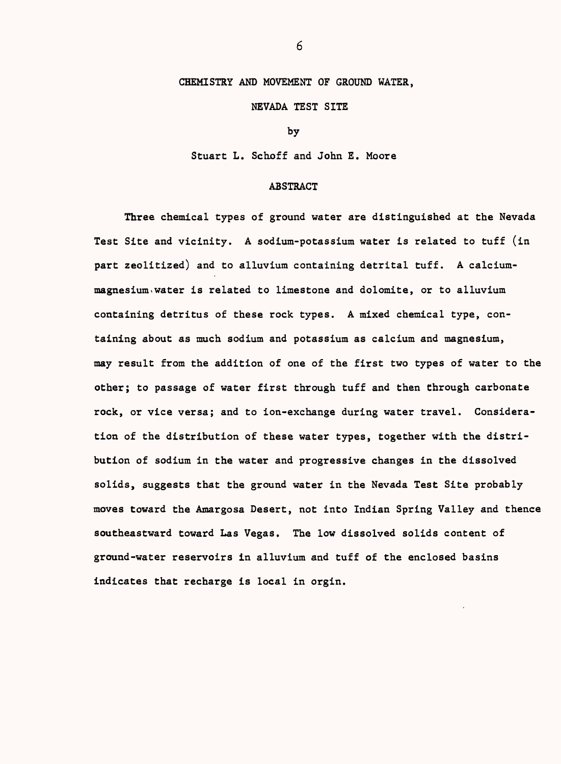## CHEMISTRY AND MOVEMENT OF GROUND WATER,

### NEVADA TEST SITE

by

Stuart L. Schoff and John E. Moore

#### ABSTRACT

Three chemical types of ground water are distinguished at the Nevada Test Site and vicinity. A sodium-potassium water is related to tuff (in part zeolitized) and to alluvium containing detrital tuff. A calciummagnesium- water is related to limestone and dolomite, or to alluvium containing detritus of these rock types. A mixed chemical type, containing about as much sodium and potassium as calcium and magnesium, may result from the addition of one of the first two types of water to the other; to passage of water first through tuff and then through carbonate rock, or vice versa; and to ion-exchange during water travel. Consideration of the distribution of these water types, together with the distribution of sodium in the water and progressive changes in the dissolved solids, suggests that the ground water in the Nevada Test Site probably moves toward the Amargosa Desert, not into Indian Spring Valley and thence southeastward toward Las Vegas. The low dissolved solids content of ground-water reservoirs in alluvium and tuff of the enclosed basins indicates that recharge is local in orgin.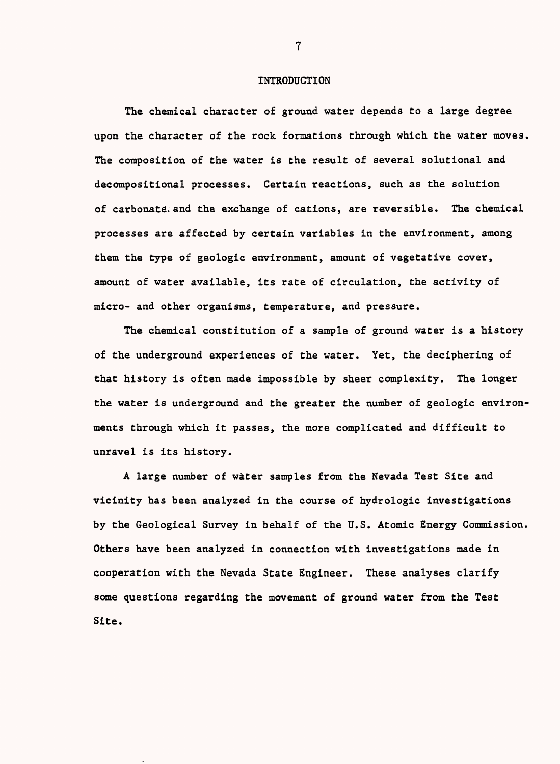### INTRODUCTION

The chemical character of ground water depends to a large degree upon the character of the rock formations through which the water moves, The composition of the water is the result of several solutional and decompositional processes. Certain reactions, such as the solution of carbonate, and the exchange of cations, are reversible. The chemical processes are affected by certain variables in the environment, among them the type of geologic environment, amount of vegetative cover, amount of water available, its rate of circulation, the activity of micro- and other organisms, temperature, and pressure.

The chemical constitution of a sample of ground water is a history of the underground experiences of the water. Yet, the deciphering of that history is often made impossible by sheer complexity. The longer the water is underground and the greater the number of geologic environments through which it passes, the more complicated and difficult to unravel is its history.

A large number of water samples from the Nevada Test Site and vicinity has been analyzed in the course of hydrologic investigations by the Geological Survey in behalf of the U.S. Atomic Energy Commission, Others have been analyzed in connection with investigations made in cooperation with the Nevada State Engineer. These analyses clarify some questions regarding the movement of ground water from the Test Site.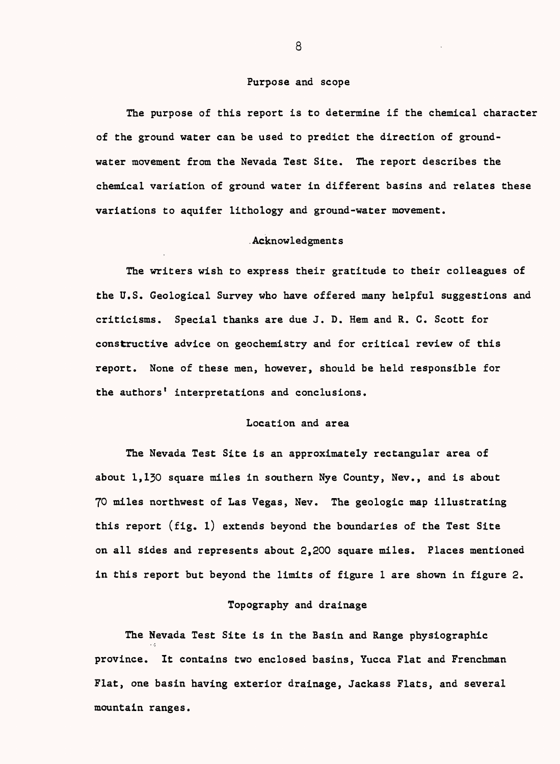#### Purpose and scope

The purpose of this report is to determine if the chemical character of the ground water can be used to predict the direction of groundwater movement from the Nevada Test Site. The report describes the chemical variation of ground water in different basins and relates these variations to aquifer lithology and ground-water movement.

### .Acknowledgment s

The writers wish to express their gratitude to their colleagues of the U.S. Geological Survey who have offered many helpful suggestions and criticisms. Special thanks are due J. D. Hem and R. C. Scott for constructive advice on geochemistry and for critical review of this report. None of these men, however, should be held responsible for the authors' interpretations and conclusions.

### Location and area

The Nevada Test Site is an approximately rectangular area of about 1,130 square miles in southern Nye County, Nev., and is about 70 miles northwest of Las Vegas, Nev. The geologic map illustrating this report (fig. l) extends beyond the boundaries of the Test Site on all sides and represents about 2,200 square miles. Places mentioned in this report but beyond the limits of figure 1 are shown in figure 2.

## Topography and drainage

The Nevada Test Site is in the Basin and Range physiographic province. It contains two enclosed basins, Yucca Flat and Frenchman Flat, one basin having exterior drainage, Jackass Flats, and several mountain ranges.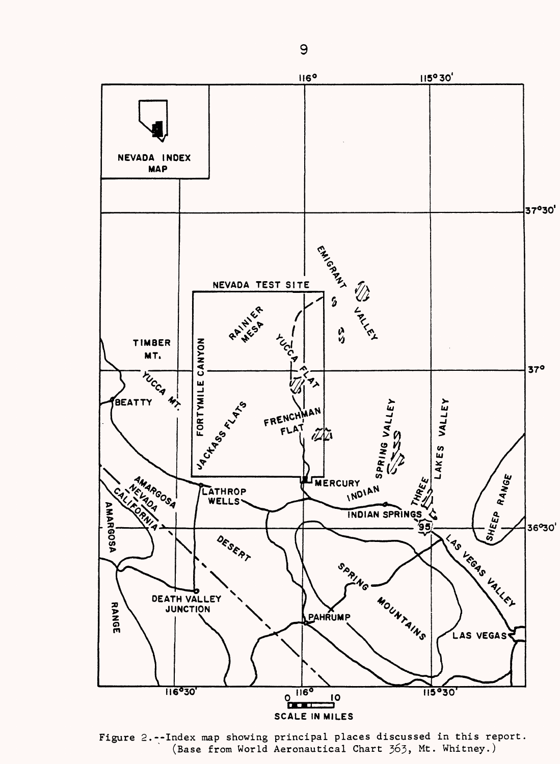

Figure 2.--Index map showing principal places discussed in this report. (Base from World Aeronautical Chart 363, Mt. Whitney.)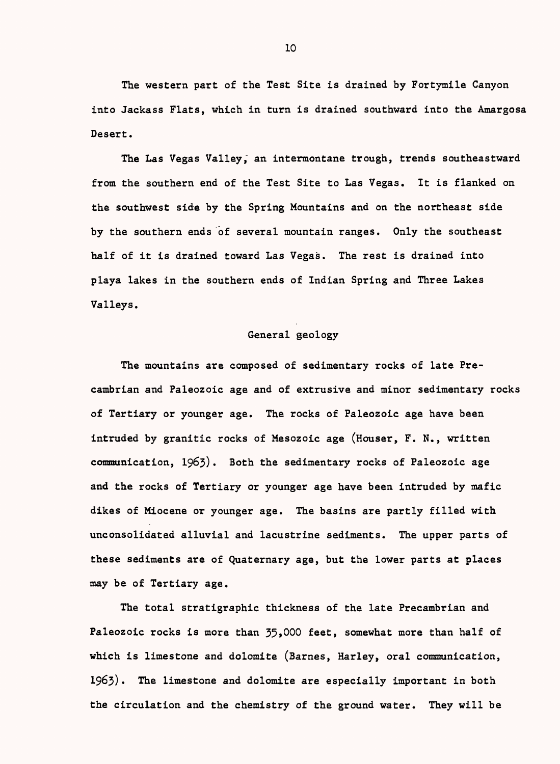The western part of the Test Site is drained by Fortymile Canyon into Jackass Flats, which in turn is drained southward into the Amargosa Desert.

The Las Vegas Valley, an intermontane trough, trends southeastward from the southern end of the Test Site to Las Vegas. It is flanked on the southwest side by the Spring Mountains and on the northeast side by the southern ends of several mountain ranges. Only the southeast half of it is drained toward Las Vegas. The rest is drained into playa lakes in the southern ends of Indian Spring and Three Lakes Valleys.

## General geology

The mountains are composed of sedimentary rocks of late Precambrian and Paleozoic age and of extrusive and minor sedimentary rocks of Tertiary or younger age. The rocks of Paleozoic age have been intruded by granitic rocks of Mesozoic age (Houser, F. N., written communication, 1963). Both the sedimentary rocks of Paleozoic age and the rocks of Tertiary or younger age have been intruded by mafic dikes of Miocene or younger age. The basins are partly filled with unconsolidated alluvial and lacustrine sediments. The upper parts of these sediments are of Quaternary age, but the lower parts at places may be of Tertiary age.

The total stratigraphic thickness of the late Precambrian and Paleozoic rocks is more than 35,000 feet, somewhat more than half of which is limestone and dolomite (Barnes, Harley, oral communication, 1963) The limestone and dolomite are especially important in both the circulation and the chemistry of the ground water. They will be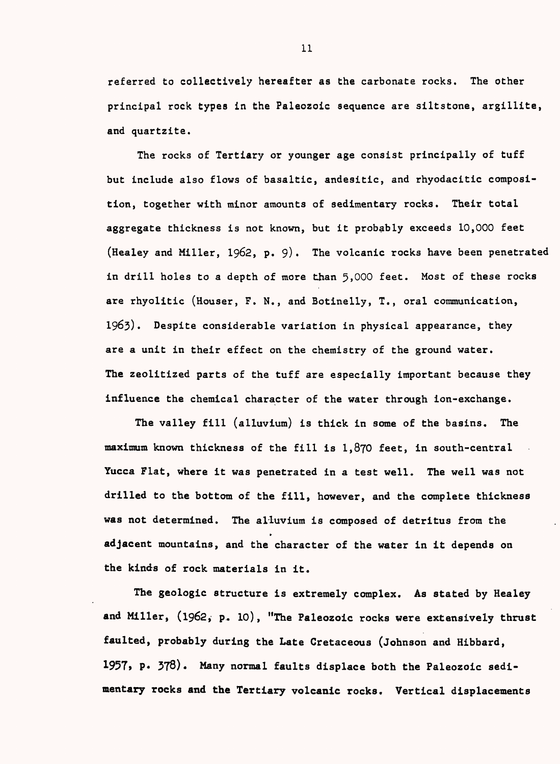referred to collectively hereafter as the carbonate rocks. The other principal rock types in the Paleozoic sequence are siltstone, argillite, and quartzite.

The rocks of Tertiary or younger age consist principally of tuff but include also flows of basaltic, andesitic, and rhyodacitic composition, together with minor amounts of sedimentary rocks. Their total aggregate thickness is not known, but it probably exceeds 10,000 feet (Healey and Miller, 1962, p. 9). The volcanic rocks have been penetrated in drill holes to a depth of more than 5,000 feet. Most of these rocks are rhyolitic (Houser, F. N., and Botinelly, T., oral communication, 1963) Despite considerable variation in physical appearance, they are a unit in their effect on the chemistry of the ground water. The zeolitized parts of the tuff are especially important because they influence the chemical character of the water through ion-exchange.

The valley fill (alluvium) is thick in some of the basins. The maximum known thickness of the fill is 1,870 feet, in south-central Yucca Flat, where it was penetrated in a test well. The well was not drilled to the bottom of the fill, however, and the complete thickness was not determined. The alluvium is composed of detritus from the adjacent mountains, and the character of the water in it depends on the kinds of rock materials in it.

The geologic structure is extremely complex. As stated by Healey and Miller, (1962, p. 10), "The Paleozoic rocks were extensively thrust faulted, probably during the Late Cretaceous (Johnson and Hibbard, 1957, p. 378). Many normal faults displace both the Paleozoic sedimentary rocks and the Tertiary volcanic rocks. Vertical displacements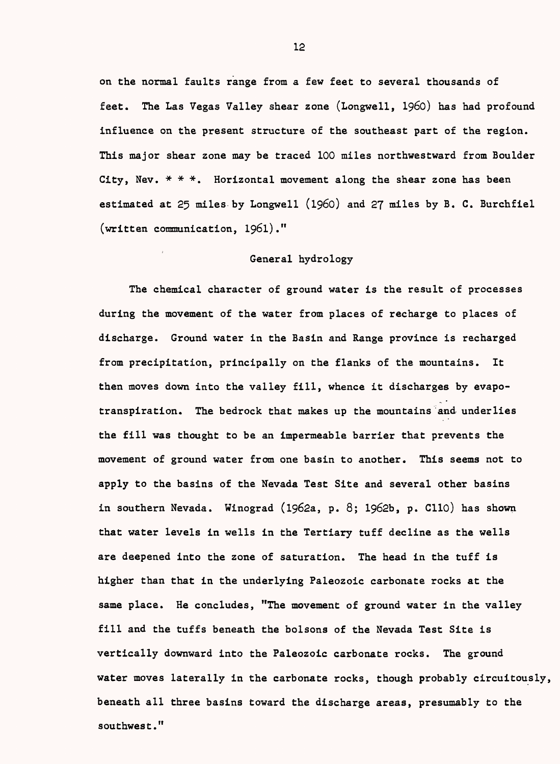on the normal faults range from a few feet to several thousands of feet. The Las Vegas Valley shear zone (Longwell, 1960) has had profound influence on the present structure of the southeast part of the region. This major shear zone may be traced 100 miles northwestward from Boulder City, Nev.  $* * *$ . Horizontal movement along the shear zone has been estimated at 25 miles by Longwell (1960) and 27 miles by B. C. Burchfiel (written communication, 1961)."

## General hydrology

The chemical character of ground water is the result of processes during the movement of the water from places of recharge to places of discharge. Ground water in the Basin and Range province is recharged from precipitation, principally on the flanks of the mountains. It then moves down into the valley fill, whence it discharges by evapotranspiration. The bedrock that makes up the mountains and underlies the fill was thought to be an impermeable barrier that prevents the movement of ground water from one basin to another. This seems not to apply to the basins of the Nevada Test Site and several other basins in southern Nevada. Winograd (l962a, p. 8; 1962b, p. Clio) has shown that water levels in wells in the Tertiary tuff decline as the wells are deepened into the zone of saturation. The head in the tuff is higher than that in the underlying Paleozoic carbonate rocks at the same place. He concludes, "The movement of ground water in the valley fill and the tuffs beneath the bolsons of the Nevada Test Site is vertically downward into the Paleozoic carbonate rocks. The ground water moves laterally in the carbonate rocks, though probably circuitously, beneath all three basins toward the discharge areas, presumably to the southwest."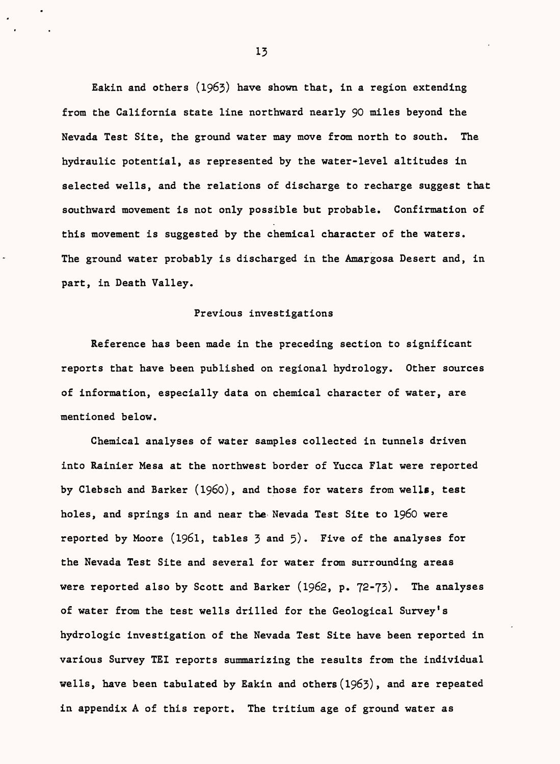Eakin and others (1963) have shown that, in a region extending from the California state line northward nearly 90 miles beyond the Nevada Test Site, the ground water may move from north to south. The hydraulic potential, as represented by the water-level altitudes in selected wells, and the relations of discharge to recharge suggest that southward movement is not only possible but probable. Confirmation of this movement is suggested by the chemical character of the waters. The ground water probably is discharged in the Amargosa Desert and, in part, in Death Valley.

#### Previous investigations

Reference has been made in the preceding section to significant reports that have been published on regional hydrology. Other sources of information, especially data on chemical character of water, are mentioned below.

Chemical analyses of water samples collected in tunnels driven into Rainier Mesa at the northwest border of Yucca Flat were reported by Clebsch and Barker (1960), and those for waters from wells, test holes, and springs in and near the Nevada Test Site to 1960 were reported by Moore (1961, tables  $3$  and  $5$ ). Five of the analyses for the Nevada Test Site and several for water from surrounding areas were reported also by Scott and Barker  $(1962, p. 72-73)$ . The analyses of water from the test wells drilled for the Geological Survey's hydrologic investigation of the Nevada Test Site have been reported in various Survey TEI reports summarizing the results from the individual wells, have been tabulated by Eakin and others  $(1963)$ , and are repeated in appendix A of this report. The tritium age of ground water as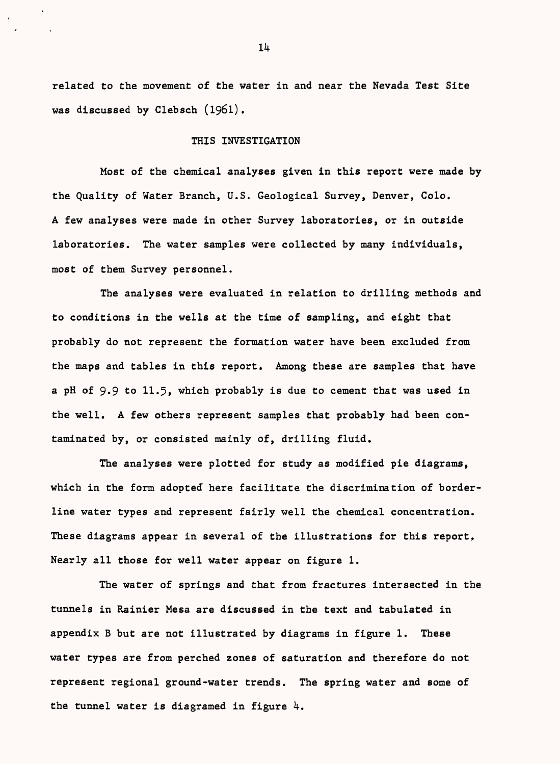related to the movement of the water in and near the Nevada Test Site was discussed by Clebsch (1961).

#### THIS INVESTIGATION

Most of the chemical analyses given in this report were made by the Quality of Water Branch, U.S. Geological Survey, Denver, Colo. A few analyses were made in other Survey laboratories, or in outside laboratories. The water samples were collected by many individuals, most of them Survey personnel.

The analyses were evaluated in relation to drilling methods and to conditions in the wells at the time of sampling, and eight that probably do not represent the formation water have been excluded from the maps and tables in this report. Among these are samples that have a pH of 9.9 to 11.5, which probably is due to cement that was used in the well. A few others represent samples that probably had been contaminated by, or consisted mainly of, drilling fluid.

The analyses were plotted for study as modified pie diagrams, which in the form adopted here facilitate the discrimination of borderline water types and represent fairly well the chemical concentration. These diagrams appear in several of the illustrations for this report. Nearly all those for well water appear on figure 1.

The water of springs and that from fractures intersected in the tunnels in Rainier Mesa are discussed in the text and tabulated in appendix B but are not illustrated by diagrams in figure 1. These water types are from perched zones of saturation and therefore do not represent regional ground-water trends. The spring water and some of the tunnel water is diagramed in figure  $4$ .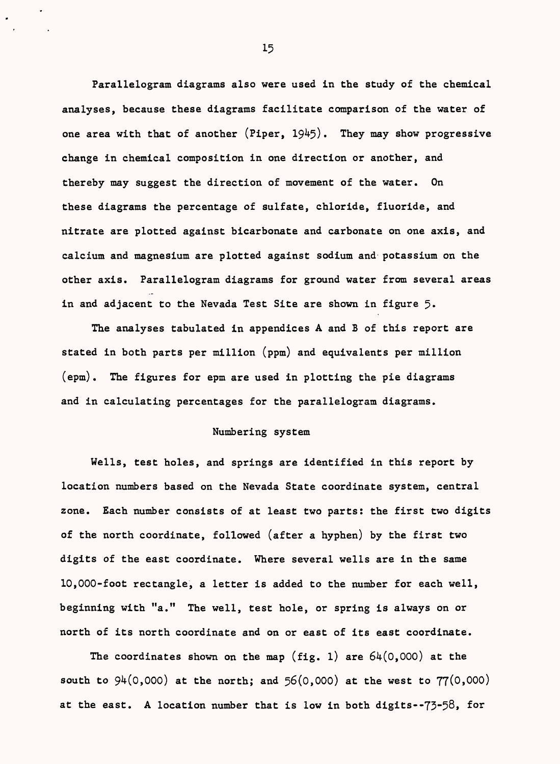Parallelogram diagrams also were used in the study of the chemical analyses, because these diagrams facilitate comparison of the water of one area with that of another  $(Piper, 1945)$ . They may show progressive change in chemical composition in one direction or another, and thereby may suggest the direction of movement of the water. On these diagrams the percentage of sulfate, chloride, fluoride, and nitrate are plotted against bicarbonate and carbonate on one axis, and calcium and magnesium are plotted against sodium and potassium on the other axis. Parallelogram diagrams for ground water from several areas in and adjacent to the Nevada Test Site are shown in figure 5.

The analyses tabulated in appendices A and B of this report are stated in both parts per million (ppm) and equivalents per million (epm). The figures for epm are used in plotting the pie diagrams and in calculating percentages for the parallelogram diagrams.

## Numbering system

Wells, test holes, and springs are identified in this report by location numbers based on the Nevada State coordinate system, central zone. Each number consists of at least two parts: the first two digits of the north coordinate, followed (after a hyphen) by the first two digits of the east coordinate. Where several wells are in the same 10,000-foot rectangle, a letter is added to the number for each well, beginning with "a." The well, test hole, or spring is always on or north of its north coordinate and on or east of its east coordinate.

The coordinates shown on the map (fig. 1) are  $64(0,000)$  at the south to  $94(0,000)$  at the north; and  $56(0,000)$  at the west to  $77(0,000)$ at the east. A location number that is low in both digits--73-58, for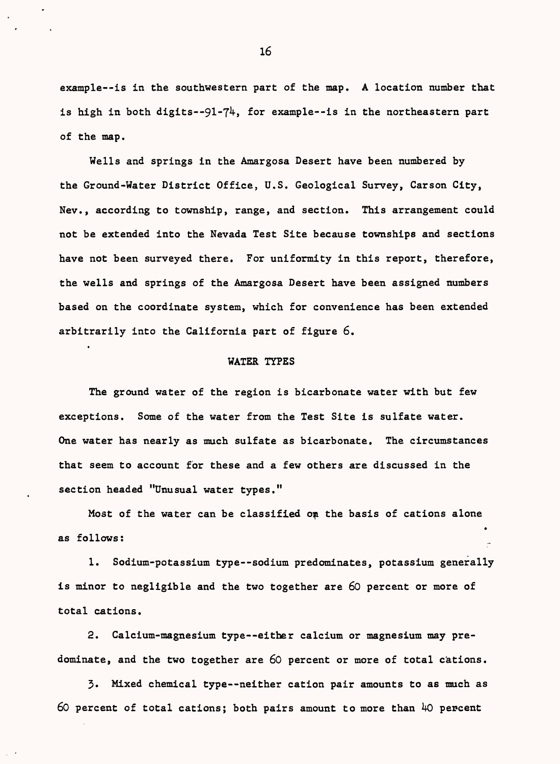example -- is in the southwestern part of the map. A location number that is high in both digits--91-74, for example--is in the northeastern part of the map.

Wells and springs in the Amargosa Desert have been numbered by the Ground-Water District Office, U.S. Geological Survey, Carson City, Nev., according to township, range, and section. This arrangement could not be extended into the Nevada Test Site because townships and sections have not been surveyed there. For uniformity in this report, therefore, the wells and springs of the Amargosa Desert have been assigned numbers based on the coordinate system, which for convenience has been extended arbitrarily into the California part of figure 6.

#### WATER TYPES

The ground water of the region is bicarbonate water with but few exceptions. Some of the water from the Test Site is sulfate water. One water has nearly as much sulfate as bicarbonate. The circumstances that seem to account for these and a few others are discussed in the section headed "Unusual water types."

Most of the water can be classified on the basis of cations alone  $\bullet$ as follows:

1. Sodium-potassium type--sodium predominates, potassium generally is minor to negligible and the two together are 60 percent or more of total cations.

2. Calcium-magnesium type either calcium or magnesium may predominate, and the two together are 60 percent or more of total cations.

3. Mixed chemical type--neither cation pair amounts to as much as  $60$  percent of total cations; both pairs amount to more than  $40$  percent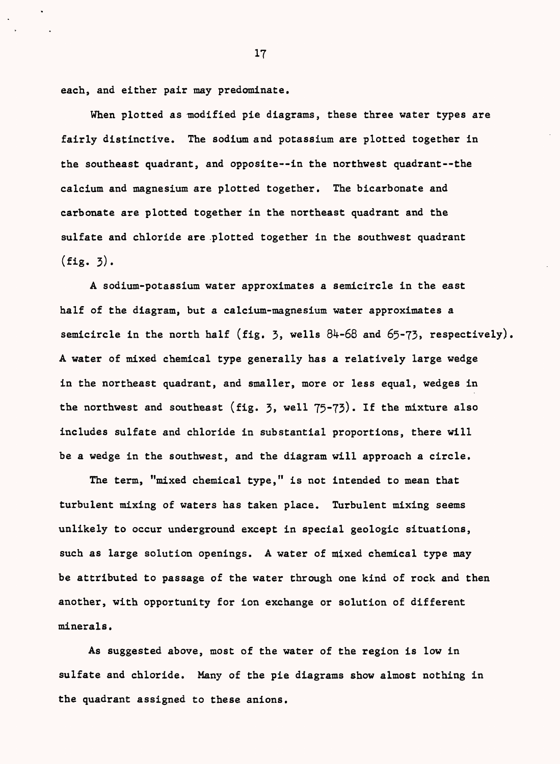each, and either pair may predominate.

When plotted as modified pie diagrams, these three water types are fairly distinctive. The sodium and potassium are plotted together in the southeast quadrant, and opposite--in the northwest quadrant--the calcium and magnesium are plotted together. The bicarbonate and carbonate are plotted together in the northeast quadrant and the sulfate and chloride are .plotted together in the southwest quadrant  $(fig. 3).$ 

A sodium-potassium water approximates a semicircle in the east half of the diagram, but a calcium-magnesium water approximates a semicircle in the north half (fig. 3, wells  $84-68$  and  $65-73$ , respectively). A water of mixed chemical type generally has a relatively large wedge in the northeast quadrant, and smaller, more or less equal, wedges in the northwest and southeast (fig. 3, well  $75-73$ ). If the mixture also includes sulfate and chloride in substantial proportions, there will be a wedge in the southwest, and the diagram will approach a circle.

The term, "mixed chemical type," is not intended to mean that turbulent mixing of waters has taken place. Turbulent mixing seems unlikely to occur underground except in special geologic situations, such as large solution openings. A water of mixed chemical type may be attributed to passage of the water through one kind of rock and then another, with opportunity for ion exchange or solution of different minerals.

As suggested above, most of the water of the region is low in sulfate and chloride. Many of the pie diagrams show almost nothing in the quadrant assigned to these anions.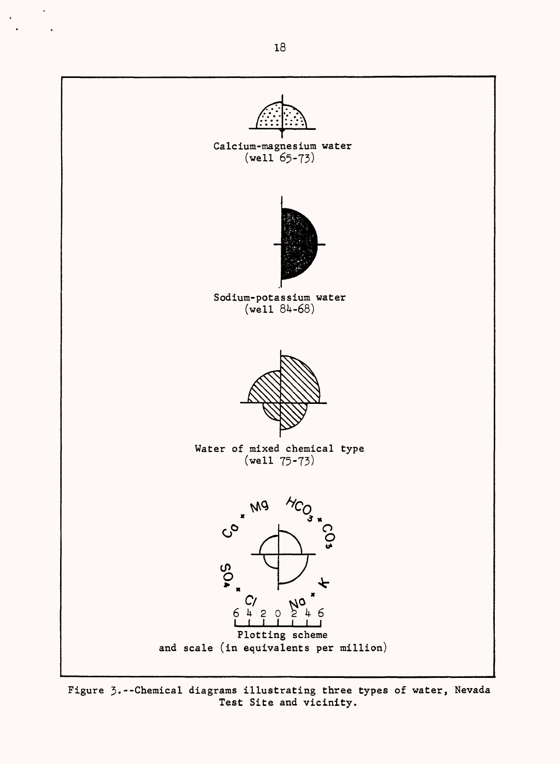

Figure 3.--Chemical diagrams illustrating three types of water, Nevada Test Site and vicinity.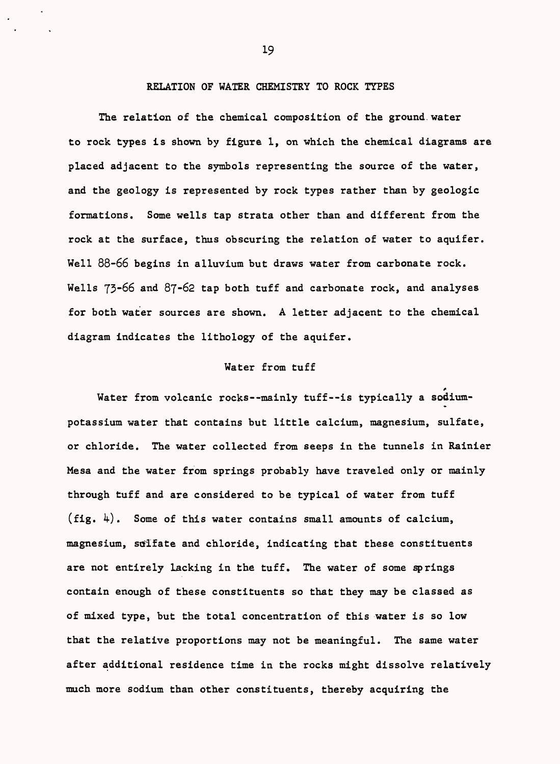## RELATION OF WATER CHEMISTRY TO ROCK TYPES

The relation of the chemical composition of the ground water to rock types is shown by figure 1, on which the chemical diagrams are placed adjacent to the symbols representing the source of the water, and the geology is represented by rock types rather than by geologic formations. Some wells tap strata other than and different from the rock at the surface, thus obscuring the relation of water to aquifer. Well 88-66 begins in alluvium but draws water from carbonate rock. Wells  $73-66$  and  $87-62$  tap both tuff and carbonate rock, and analyses for both water sources are shown. A letter adjacent to the chemical diagram indicates the lithology of the aquifer.

## Water from tuff

f Water from volcanic rocks--mainly tuff--is typically a sodiumpotassium water that contains but little calcium, magnesium, sulfate, or chloride. The water collected from seeps in the tunnels in Rainier Mesa and the water from springs probably have traveled only or mainly through tuff and are considered to be typical of water from tuff (fig.  $\mu$ ). Some of this water contains small amounts of calcium, magnesium, sulfate and chloride, indicating that these constituents are not entirely lacking in the tuff. The water of some springs contain enough of these constituents so that they may be classed as of mixed type, but the total concentration of this water is so low that the relative proportions may not be meaningful. The same water after additional residence time in the rocks might dissolve relatively much more sodium than other constituents, thereby acquiring the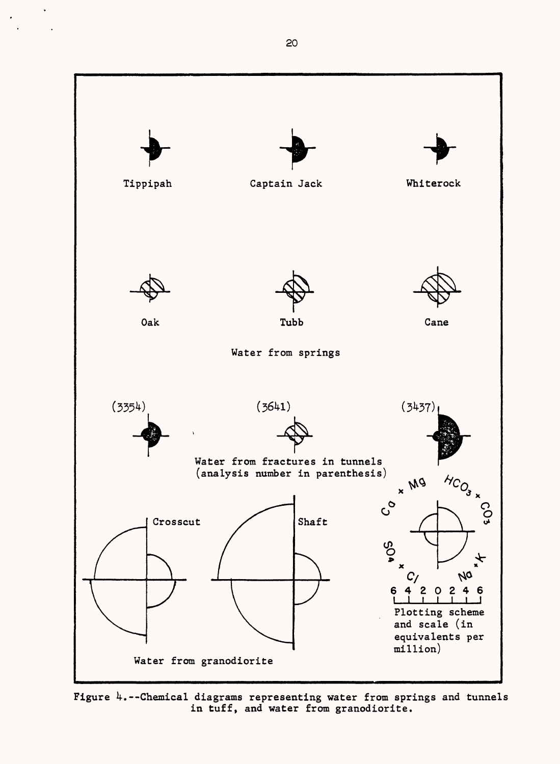

Figure  $4$ .--Chemical diagrams representing water from springs and tunnels in tuff, and water from granodiorite.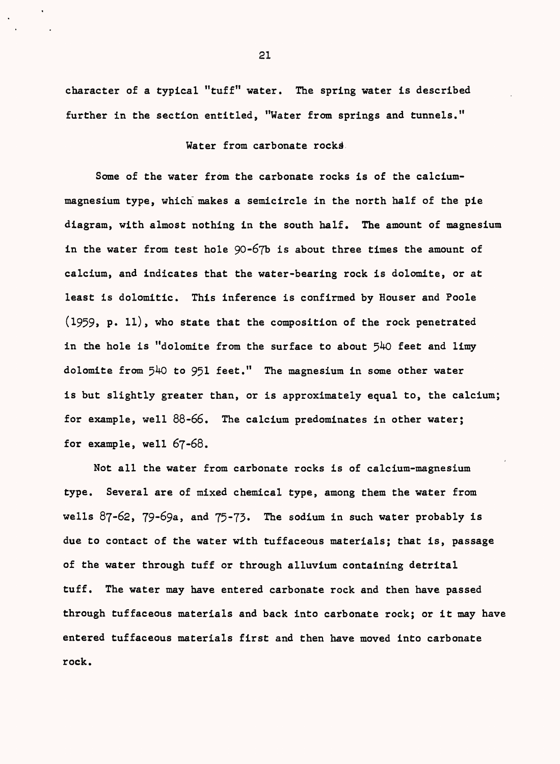character of a typical "tuff" water. The spring water is described further in the section entitled, "Water from springs and tunnels."

Water from carbonate rocks.

Some of the water from the carbonate rocks is of the calciummagnesium type, which' makes a semicircle in the north half of the pie diagram, with almost nothing in the south half. The amount of magnesium in the water from test hole 90-67b is about three times the amount of calcium, and indicates that the water-bearing rock is dolomite, or at least is dolomitic. This inference is confirmed by Houser and Poole  $(1959, p. 11)$ , who state that the composition of the rock penetrated in the hole is "dolomite from the surface to about  $540$  feet and limy dolomite from  $540$  to  $951$  feet." The magnesium in some other water is but slightly greater than, or is approximately equal to, the calcium; for example, well 88-66. The calcium predominates in other water; for example, well 67-68.

Not all the water from carbonate rocks is of calcium-magnesium type. Several are of mixed chemical type, among them the water from wells 87-62, 79-69a, and 75-73. The sodium in such water probably is due to contact of the water with tuffaceous materials; that is, passage of the water through tuff or through alluvium containing detrital tuff. The water may have entered carbonate rock and then have passed through tuffaceous materials and back into carbonate rock; or it may have entered tuffaceous materials first and then have moved into carbonate rock.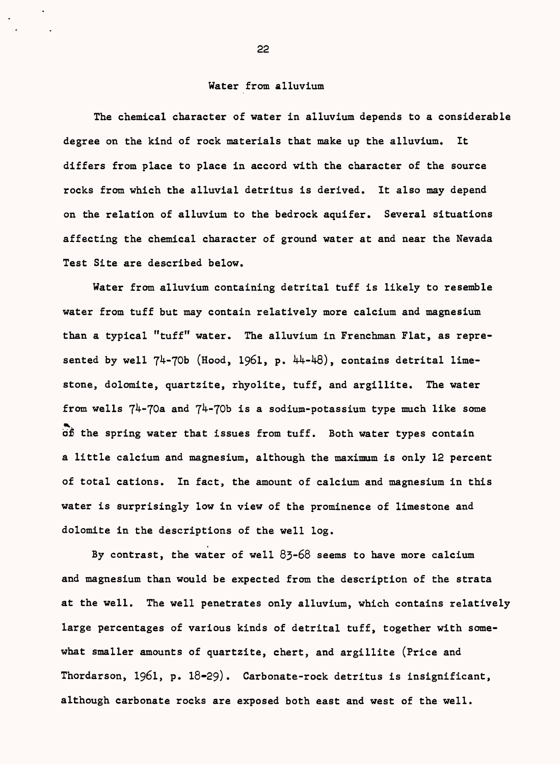#### Water from alluvium

The chemical character of water in alluvium depends to a considerable degree on the kind of rock materials that make up the alluvium. It differs from place to place in accord with the character of the source rocks from which the alluvial detritus is derived. It also may depend on the relation of alluvium to the bedrock aquifer. Several situations affecting the chemical character of ground water at and near the Nevada Test Site are described below.

Water from alluvium containing detrital tuff is likely to resemble water from tuff but may contain relatively more calcium and magnesium than a typical "tuff" water. The alluvium in Frenchman Flat, as represented by well  $74-70b$  (Hood, 1961, p.  $44-48$ ), contains detrital limestone, dolomite, quartzite, rhyolite, tuff, and argillite. The water from wells  $74-70a$  and  $74-70b$  is a sodium-potassium type much like some of the spring water that issues from tuff. Both water types contain a little calcium and magnesium, although the maximum is only 12 percent of total cations. In fact, the amount of calcium and magnesium in this water is surprisingly low in view of the prominence of limestone and dolomite in the descriptions of the well log.

By contrast, the water of well 83-68 seems to have more calcium and magnesium than would be expected from the description of the strata at the well. The well penetrates only alluvium, which contains relatively large percentages of various kinds of detrital tuff, together with somewhat smaller amounts of quartzite, chert, and argillite (Price and Thordarson, 1961, p. 18-29). Carbonate-rock detritus is insignificant, although carbonate rocks are exposed both east and west of the well.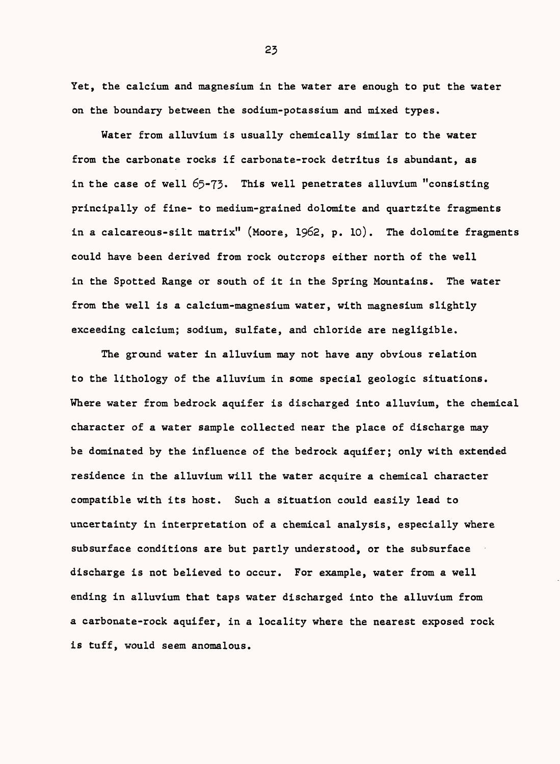Yet, the calcium and magnesium in the water are enough to put the water on the boundary between the sodium-potassium and mixed types.

Water from alluvium is usually chemically similar to the water from the carbonate rocks if carbonate-rock detritus is abundant, as in the case of well 65-73. This well penetrates alluvium "consisting principally of fine- to medium-grained dolomite and quartzite fragments in a calcareous-silt matrix" (Moore,  $1962$ , p. 10). The dolomite fragments could have been derived from rock outcrops either north of the well in the Spotted Range or south of it in the Spring Mountains. The water from the well is a calcium-magnesium water, with magnesium slightly exceeding calcium; sodium, sulfate, and chloride are negligible.

The ground water in alluvium may not have any obvious relation to the lithology of the alluvium in some special geologic situations. Where water from bedrock aquifer is discharged into alluvium, the chemical character of a water sample collected near the place of discharge may be dominated by the influence of the bedrock aquifer; only with extended residence in the alluvium will the water acquire a chemical character compatible with its host. Such a situation could easily lead to uncertainty in interpretation of a chemical analysis, especially where subsurface conditions are but partly understood, or the subsurface discharge is not believed to occur. For example, water from a well ending in alluvium that taps water discharged into the alluvium from a carbonate-rock aquifer, in a locality where the nearest exposed rock is tuff, would seem anomalous.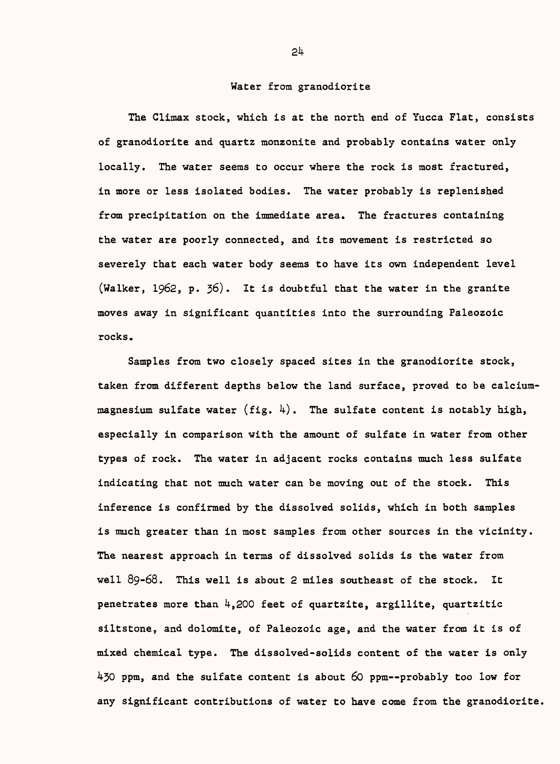#### Water from granodiorite

The Climax stock, which is at the north end of Yucca Flat, consists of granodiorite and quartz monzonite and probably contains water only locally. The water seems to occur where the rock is most fractured, in more or less isolated bodies. The water probably is replenished from precipitation on the immediate area. The fractures containing the water are poorly connected, and its movement is restricted so severely that each water body seems to have its own independent level (Walker, 1962, p. 36). It is doubtful that the water in the granite moves away in significant quantities into the surrounding Paleozoic rocks.

Samples from two closely spaced sites in the granodiorite stock, taken from different depths below the land surface, proved to be calciummagnesium sulfate water (fig.  $4$ ). The sulfate content is notably high, especially in comparison with the amount of sulfate in water from other types of rock. The water in adjacent rocks contains much less sulfate indicating that not much water can be moving out of the stock. This inference is confirmed by the dissolved solids, which in both samples is much greater than in most samples from other sources in the vicinity. The nearest approach in terms of dissolved solids is the water from well 89-68. This well is about 2 miles southeast of the stock. It penetrates more than  $\frac{1}{4}$ , 200 feet of quartzite, argillite, quartzitic siltstone, and dolomite, of Paleozoic age, and the water from it is of mixed chemical type. The dissolved-solids content of the water is only  $430$  ppm, and the sulfate content is about 60 ppm--probably too low for any significant contributions of water to have come from the granodiorite.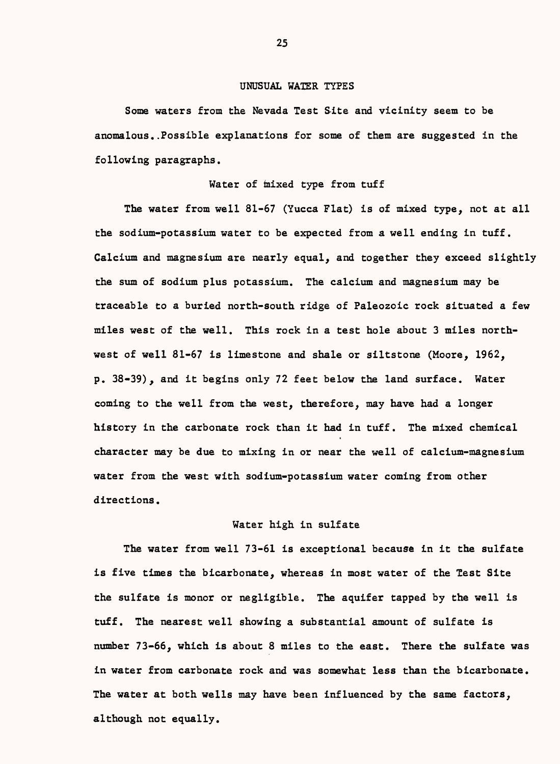## UNUSUAL WATER TYPES

Some waters from the Nevada Test Site and vicinity seem to be anomalous..Possible explanations for some of them are suggested in the following paragraphs.

### Water of mixed type from tuff

The water from well 81-67 (Yucca Flat) is of mixed type, not at all the sodium-potassium water to be expected from a well ending in tuff. Calcium and magnesium are nearly equal, and together they exceed slightly the sum of sodium plus potassium. The calcium and magnesium may be traceable to a buried north-south ridge of Paleozoic rock situated a few miles west of the well. This rock in a test hole about 3 miles northwest of well 81-67 is limestone and shale or siltstone (Moore, 1962, p. 38-39), and it begins only 72 feet below the land surface. Water coming to the well from the west, therefore, may have had a longer history in the carbonate rock than it had in tuff. The mixed chemical character may be due to mixing in or near the well of calcium-magnesium water from the west with sodium-potassium water coming from other directions.

## Water high in sulfate

The water from well 73-61 is exceptional because in it the sulfate is five times the bicarbonate, whereas in most water of the Test Site the sulfate is monor or negligible. The aquifer tapped by the well is tuff. The nearest well showing a substantial amount of sulfate is number 73-66, which is about 8 miles to the east. There the sulfate was in water from carbonate rock and was somewhat less than the bicarbonate. The water at both wells may have been influenced by the same factors, although not equally.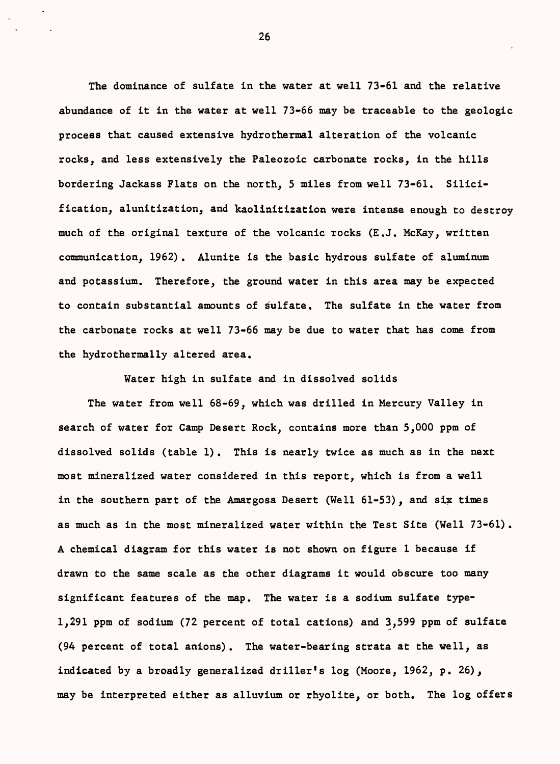The dominance of sulfate in the water at well 73-61 and the relative abundance of it in the water at well 73-66 may be traceable to the geologic process that caused extensive hydrothermal alteration of the volcanic rocks, and less extensively the Paleozoic carbonate rocks, in the hills bordering Jackass Flats on the north, 5 miles from well 73-61. Silicification, alunitization, and kaolinitization were intense enough to destroy much of the original texture of the volcanic rocks (E.J. McKay, written communication, 1962) . Alunite is the basic hydrous sulfate of aluminum and potassium. Therefore, the ground water in this area may be expected to contain substantial amounts of sulfate. The sulfate in the water from the carbonate rocks at well 73-66 may be due to water that has come from the hydrothermally altered area.

Water high in sulfate and in dissolved solids

The water from well 68-69, which was drilled in Mercury Valley in search of water for Camp Desert Rock, contains more than 5,000 ppm of dissolved solids (table 1). This is nearly twice as much as in the next most mineralized water considered in this report, which is from a well in the southern part of the Amargosa Desert (Well 61-53), and six times as much as in the most mineralized water within the Test Site (Well 73-61) . A chemical diagram for this water is not shown on figure 1 because if drawn to the same scale as the other diagrams it would obscure too many significant features of the map. The water is a sodium sulfate type-1,291 ppm of sodium (72 percent of total cations) and 3,599 ppm of sulfate (94 percent of total anions). The water-bearing strata at the well, as indicated by a broadly generalized driller's log (Moore, 1962, p. 26), may be interpreted either as alluvium or rhyolite, or both. The log offers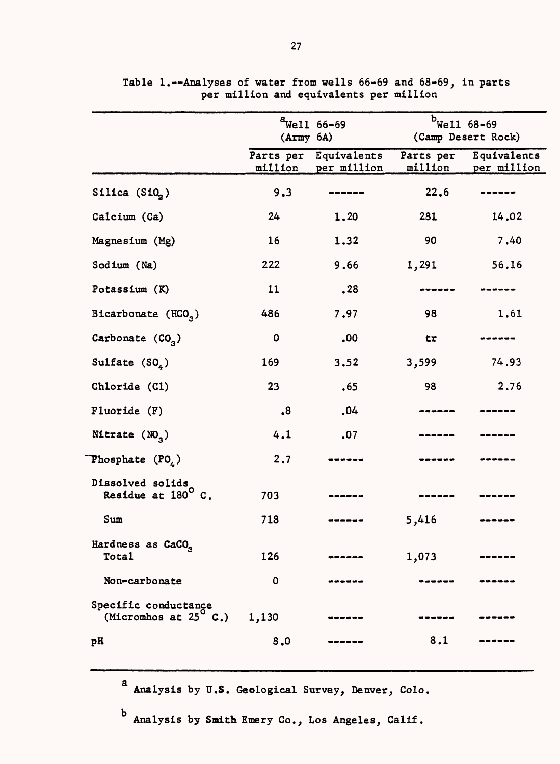|                                                        | (Army 6A)            | $4$ Well 66-69             | $b$ Well 68-69       | (Camp Desert Rock)         |
|--------------------------------------------------------|----------------------|----------------------------|----------------------|----------------------------|
|                                                        | Parts per<br>million | Equivalents<br>per million | Parts per<br>million | Equivalents<br>per million |
| Silica $(Si02)$                                        | 9.3                  |                            | 22.6                 |                            |
| Calcium (Ca)                                           | 24                   | 1,20                       | 281                  | 14.02                      |
| Magnesium (Mg)                                         | 16                   | 1.32                       | 90                   | 7.40                       |
| Sodium (Na)                                            | 222                  | 9.66                       | 1,291                | 56.16                      |
| Potassium (K)                                          | 11                   | .28                        |                      |                            |
| Bicarbonate (HCO <sub>2</sub> )                        | 486                  | 7.97                       | 98                   | 1.61                       |
| Carbonate $(CO3)$                                      | 0                    | .00                        | tr                   |                            |
| Sulfate $(SO_4)$                                       | 169                  | 3.52                       | 3,599                | 74.93                      |
| Chloride (C1)                                          | 23                   | .65                        | 98                   | 2.76                       |
| Fluoride (F)                                           | $\boldsymbol{8}$     | .04                        |                      |                            |
| Nitrate $(NO3)$                                        | 4.1                  | .07                        |                      |                            |
| Phosphate $(PO4)$                                      | 2.7                  |                            |                      |                            |
| Dissolved solids<br>Residue at 180°C.                  | 703                  |                            |                      |                            |
| Sum                                                    | 718                  |                            | 5,416                |                            |
| Hardness as CaCO <sub>3</sub><br>Total                 | 126                  |                            | 1,073                |                            |
| Non-carbonate                                          | 0                    | ------                     |                      |                            |
| Specific conductance<br>(Micromhos at $25^{\circ}$ C.) | 1,130                |                            |                      |                            |
| pH                                                     | 8,0                  |                            | 8.1                  |                            |

Table 1.--Analyses of water from wells 66-69 per million and equivalents per and 68-69, in parts million

Analysis by U.S. Geological Survey, Denver, Colo.

Analysis by Smith Emery Co., Los Angeles, Calif.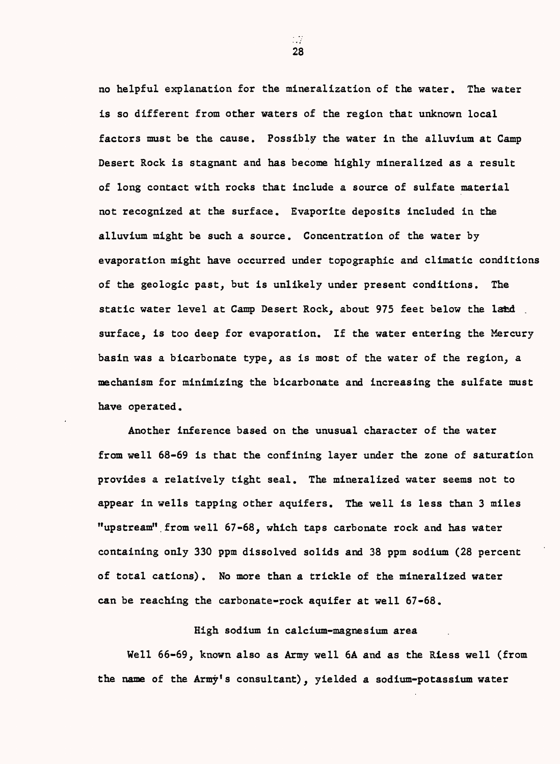no helpful explanation for the mineralization of the water. The water is so different from other waters of the region that unknown local factors must be the cause. Possibly the water in the alluvium at Camp Desert Rock is stagnant and has become highly mineralized as a result of long contact with rocks that include a source of sulfate material not recognized at the surface. Evaporite deposits included in the alluvium might be such a source. Concentration of the water by evaporation might have occurred under topographic and climatic conditions of the geologic past, but is unlikely under present conditions. The static water level at Camp Desert Rock, about 975 feet below the land surface, is too deep for evaporation. If the water entering the Mercury basin was a bicarbonate type, as is most of the water of the region, a mechanism for minimizing the bicarbonate and increasing the sulfate must have operated.

Another inference based on the unusual character of the water from well 68-69 is that the confining layer under the zone of saturation provides a relatively tight seal. The mineralized water seems not to appear in wells tapping other aquifers. The well is less than 3 miles "upstream" from well 67-68, which taps carbonate rock and has water containing only 330 ppm dissolved solids and 38 ppm sodium (28 percent of total cations) . No more than a trickle of the mineralized water can be reaching the carbonate-rock aquifer at well 67-68.

High sodium in calcium-magnesium area

Well 66-69, known also as Army well 6A and as the Riess well (from the name of the Army's consultant), yielded a sodium-potassium water

- 7 28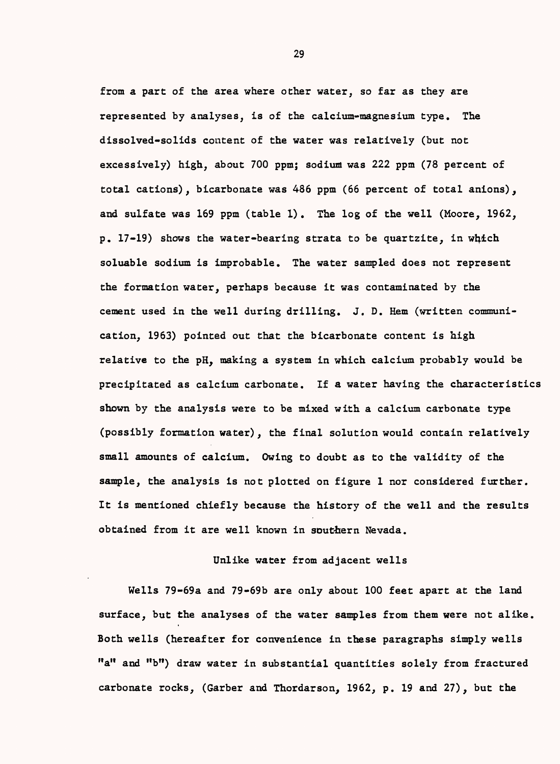from a part of the area where other water, so far as they are represented by analyses, is of the calcium-magnesium type. The dissolved-solids content of the water was relatively (but not excessively) high, about 700 ppm; sodium was 222 ppm (78 percent of total cations), bicarbonate was 486 ppm (66 percent of total anions), and sulfate was 169 ppm (table 1) . The log of the well (Moore, 1962,  $p. 17-19$ ) shows the water-bearing strata to be quartzite, in which soluable sodium is improbable. The water sampled does not represent the formation water, perhaps because it was contaminated by the cement used in the well during drilling. J. D. Hem (written communication, 1963) pointed out that the bicarbonate content is high relative to the pH, making a system in which calcium probably would be precipitated as calcium carbonate. If a water having the characteristics shown by the analysis were to be mixed with a calcium carbonate type (possibly formation water), the final solution would contain relatively small amounts of calcium. Owing to doubt as to the validity of the sample, the analysis is not plotted on figure 1 nor considered further. It is mentioned chiefly because the history of the well and the results obtained from it are well known in southern Nevada.

## Unlike water from adjacent wells

Wells 79-69a and 79-69b are only about 100 feet apart at the land surface, but the analyses of the water samples from them were not alike. Both wells (hereafter for convenience in these paragraphs simply wells "a" and "b") draw water in substantial quantities solely from fractured carbonate rocks, (Garber and Thordarson, 1962, p. 19 and 27), but the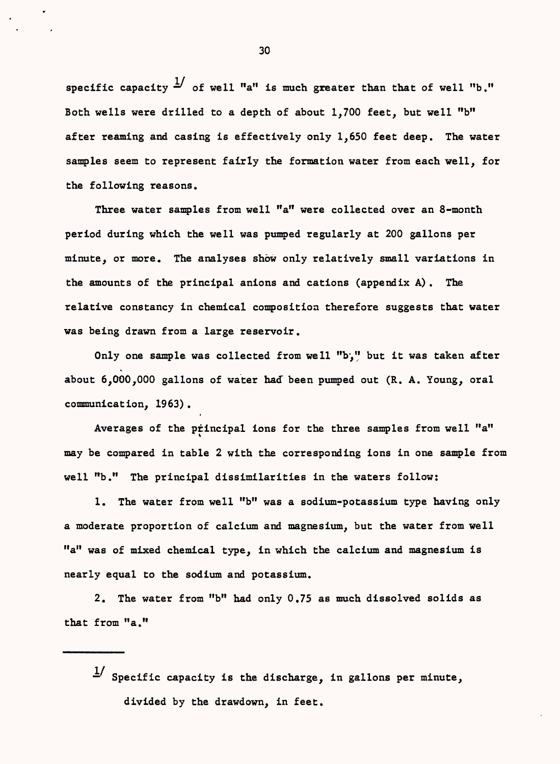specific capacity  $\frac{1}{2}$  of well "a" is much greater than that of well "b." Both wells were drilled to a depth of about 1,700 feet, but well "b" after reaming and casing is effectively only 1,650 feet deep. The water samples seem to represent fairly the formation water from each well, for the following reasons.

Three water samples from well "a" were collected over an 8-month period during which the well was pumped regularly at 200 gallons per minute, or more. The analyses show only relatively small variations in the amounts of the principal anions and cations (appendix A). The relative constancy in chemical composition therefore suggests that water was being drawn from a large reservoir.

Only one sample was collected from well "b'," but it was taken after about 6,000,000 gallons of water had been pumped out (R. A. Young, oral communication, 1963).

Averages of the principal ions for the three samples from well "a" may be compared in table 2 with the corresponding ions in one sample from well "b." The principal dissimilarities in the waters follow:

1. The water from well "b" was a sodium-potassium type having only a moderate proportion of calcium and magnesium, but the water from well "a" was of mixed chemical type, in which the calcium and magnesium is nearly equal to the sodium and potassium.

2. The water from "b" had only 0.75 as much dissolved solids as that from "a."

 $\frac{1}{s}$  Specific capacity is the discharge, in gallons per minute, divided by the drawdown, in feet.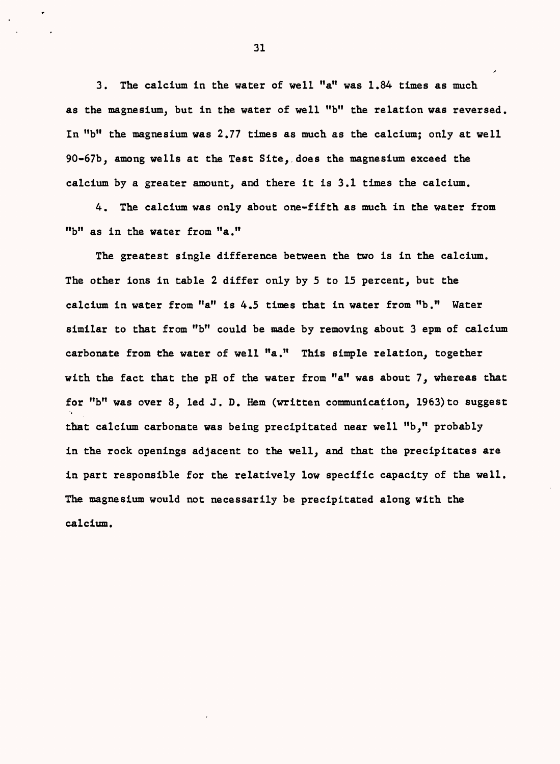3. The calcium in the water of well "a" was 1.84 times as much as the magnesium, but in the water of well "b" the relation was reversed. In "b" the magnesium was 2.77 times as much as the calcium; only at well 90-67b, among wells at the Test Site, does the magnesium exceed the calcium by a greater amount, and there it is 3.1 times the calcium.

4. The calcium was only about one-fifth as much in the water from "b" as in the water from "a."

The greatest single difference between the two is in the calcium. The other ions in table 2 differ only by 5 to 15 percent, but the calcium in water from "a" is 4.5 times that in water from "b." Water similar to that from "b" could be made by removing about 3 epm of calcium carbonate from the water of well "a." This simple relation, together with the fact that the pH of the water from "a" was about 7, whereas that for "b" was over  $8$ , led J. D. Hem (written communication, 1963) to suggest that calcium carbonate was being precipitated near well "b," probably in the rock openings adjacent to the well, and that the precipitates are in part responsible for the relatively low specific capacity of the well. The magnesium would not necessarily be precipitated along with the calcium.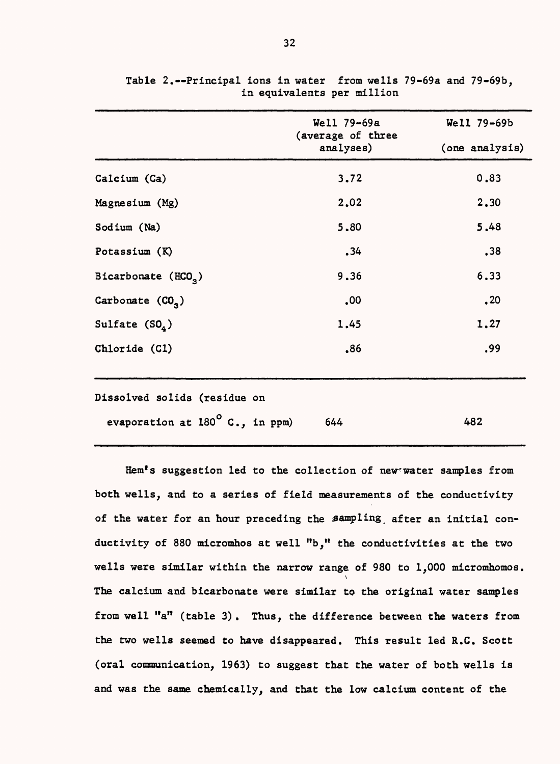|                                        | Well 79-69a                    | Well 79-69b    |
|----------------------------------------|--------------------------------|----------------|
|                                        | (average of three<br>analyses) | (one analysis) |
| Calcium (Ca)                           | 3.72                           | 0.83           |
| Magnesium (Mg)                         | 2,02                           | 2.30           |
| Sodium (Na)                            | 5.80                           | 5.48           |
| Potassium (K)                          | .34                            | ,38            |
| Bicarbonate (HCO <sub>3</sub> )        | 9.36                           | 6.33           |
| Carbonate (CO <sub>3</sub> )           | .00                            | $\cdot$ 20     |
| Sulfate $(SO_4)$                       | 1.45                           | 1.27           |
| Chloride (Cl)                          | .86                            | .99            |
| Dissolved solids (residue on           |                                |                |
| evaporation at $180^\circ$ C., in ppm) | 644                            | 482            |

Table 2. Principal ions in water from wells 79-69a and 79-69b, in equivalents per million

Hem's suggestion led to the collection of new-water samples from both wells, and to a series of field measurements of the conductivity of the water for an hour preceding the sampling, after an initial conductivity of 880 micromhos at well "b," the conductivities at the two wells were similar within the narrow range of 980 to 1,000 micromhomos.  $\mathbf{v}$ The calcium and bicarbonate were similar to the original water samples from well  $"a"$  (table 3). Thus, the difference between the waters from the two wells seemed to have disappeared. This result led R.C. Scott (oral communication, 1963) to suggest that the water of both wells is and was the same chemically, and that the low calcium content of the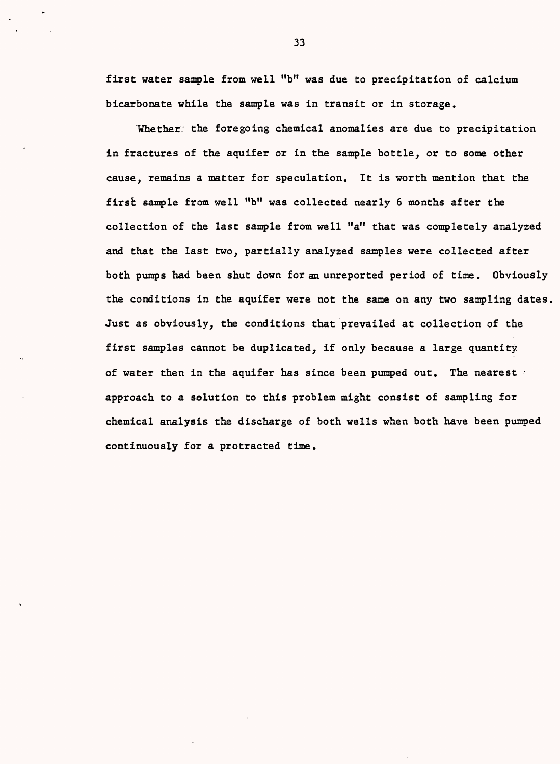first water sample from well "b" was due to precipitation of calcium bicarbonate while the sample was in transit or in storage.

Whether: the foregoing chemical anomalies are due to precipitation in fractures of the aquifer or in the sample bottle, or to some other cause, remains a matter for speculation. It is worth mention that the first sample from well "b" was collected nearly 6 months after the collection of the last sample from well "a" that was completely analyzed and that the last two, partially analyzed samples were collected after both pumps had been shut down for an unreported period of time. Obviously the conditions in the aquifer were not the same on any two sampling dates, Just as obviously, the conditions that prevailed at collection of the first samples cannot be duplicated, if only because a large quantity of water then in the aquifer has since been pumped out. The nearest approach to a solution to this problem might consist of sampling for chemical analysis the discharge of both wells when both have been pumped continuously for a protracted time.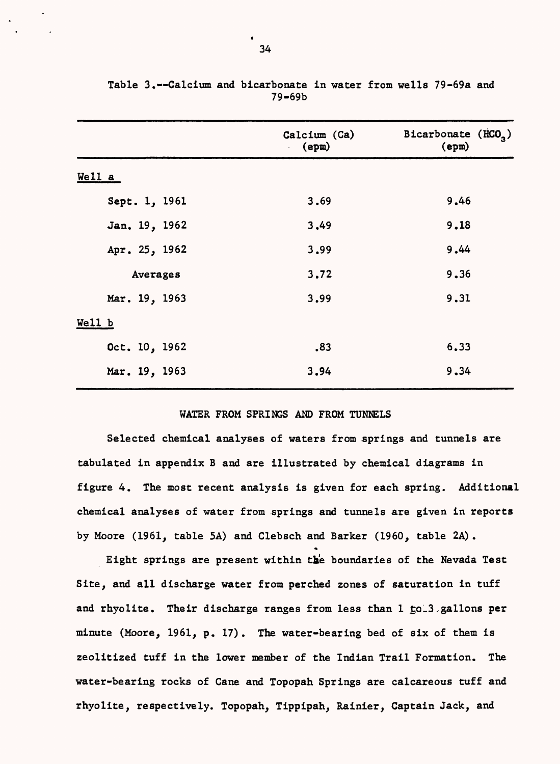|               | Calcium (Ca)<br>(epm) | Bicarbonate (HCO <sub>2</sub> )<br>$(\texttt{epm})$ |
|---------------|-----------------------|-----------------------------------------------------|
| $Well1$ a     |                       |                                                     |
| Sept. 1, 1961 | 3.69                  | 9.46                                                |
| Jan. 19, 1962 | 3,49                  | 9.18                                                |
| Apr. 25, 1962 | 3,99                  | 9.44                                                |
| Averages      | 3,72                  | 9.36                                                |
| Mar. 19, 1963 | 3.99                  | 9.31                                                |
| Well b        |                       |                                                     |
| Oct. 10, 1962 | .83                   | 6.33                                                |
| Mar. 19, 1963 | 3.94                  | 9.34                                                |
|               |                       |                                                     |

Table 3.--Calcium and bicarbonate in water from wells 79-69a and 79-69b

#### WATER FROM SPRINGS AND FROM TUNNELS

Selected chemical analyses of waters from springs and tunnels are tabulated in appendix B and are illustrated by chemical diagrams in figure 4. The most recent analysis is given for each spring. Additional chemical analyses of water from springs and tunnels are given in reports by Moore (1961, table 5A) and Clebsch and Barker (1960, table 2A) .

Eight springs are present within the boundaries of the Nevada Test Site, and all discharge water from perched zones of saturation in tuff and rhyolite. Their discharge ranges from less than 1 to 3 gallons per minute (Moore, 1961, p. 17). The water-bearing bed of six of them is zeolitized tuff in the lower member of the Indian Trail Formation. The water-bearing rocks of Cane and Topopah Springs are calcareous tuff and rhyolite, respectively. Topopah, Tippipah, Rainier, Captain Jack, and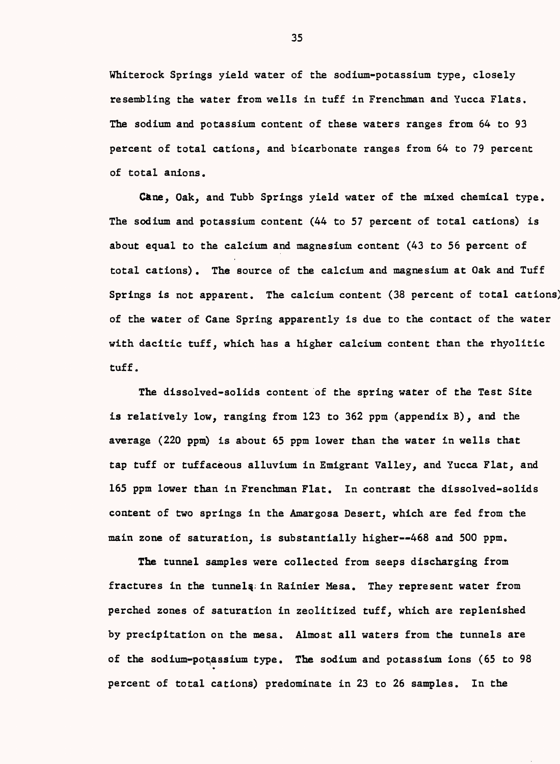Whiterock Springs yield water of the sodium-potassium type, closely resembling the water from wells in tuff in Frenchman and Yucca Flats. The sodium and potassium content of these waters ranges from 64 to 93 percent of total cations, and bicarbonate ranges from 64 to 79 percent of total anions.

Gane, Oak, and Tubb Springs yield water of the mixed chemical type. The sodium and potassium content (44 to 57 percent of total cations) is about equal to the calcium and magnesium content (43 to 56 percent of total cations). The source of the calcium and magnesium at Oak and Tuff Springs is not apparent. The calcium content (38 percent of total cations) of the water of Cane Spring apparently is due to the contact of the water with dacitic tuff, which has a higher calcium content than the rhyolitic tuff.

The dissolved-solids content of the spring water of the Test Site is relatively low, ranging from 123 to 362 ppm (appendix B), and the average (220 ppm) is about 65 ppm lower than the water in wells that tap tuff or tuffaceous alluvium in Emigrant Valley, and Yucca Flat, and 165 ppm lower than in Frenchman Flat. In contrast the dissolved-solids content of two springs in the Amargosa Desert, which are fed from the main zone of saturation, is substantially higher--468 and 500 ppm.

The tunnel samples were collected from seeps discharging from fractures in the tunnels in Rainier Mesa. They represent water from perched zones of saturation in zeolitized tuff, which are replenished by precipitation on the mesa. Almost all waters from the tunnels are of the sodium-potassium type. The sodium and potassium ions (65 to 98 \* percent of total cations) predominate in 23 to 26 samples. In the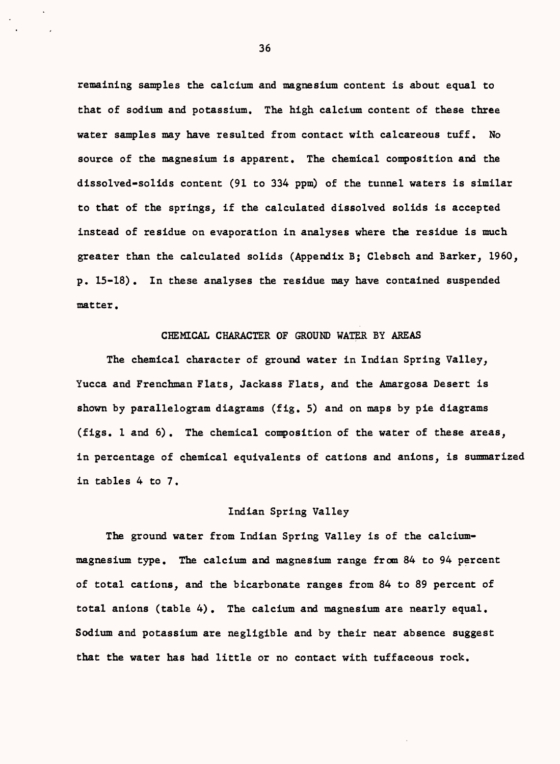remaining samples the calcium and magnesium content is about equal to that of sodium and potassium. The high calcium content of these three water samples may have resulted from contact with calcareous tuff. No source of the magnesium is apparent. The chemical composition and the dissolved-solids content (91 to 334 ppm) of the tunnel waters is similar to that of the springs, if the calculated dissolved solids is accepted instead of residue on evaporation in analyses where the residue is much greater than the calculated solids (Appendix B; Clebsch and Barker, 1960, p. 15-18). In these analyses the residue may have contained suspended matter.

## CHEMICAL CHARACTER OF GROUND WATER BY AREAS

The chemical character of ground water in Indian Spring Valley, Yucca and Frenchman Flats, Jackass Flats, and the Amargosa Desert is shown by parallelogram diagrams (fig. 5) and on maps by pie diagrams (figs. 1 and 6). The chemical composition of the water of these areas, in percentage of chemical equivalents of cations and anions, is summarized in tables 4 to 7.

## Indian Spring Valley

The ground water from Indian Spring Valley is of the calciummagnesium type. The calcium and magnesium range from 84 to 94 percent of total cations, and the bicarbonate ranges from 84 to 89 percent of total anions (table 4). The calcium and magnesium are nearly equal. Sodium and potassium are negligible and by their near absence suggest that the water has had little or no contact with tuffaceous rock.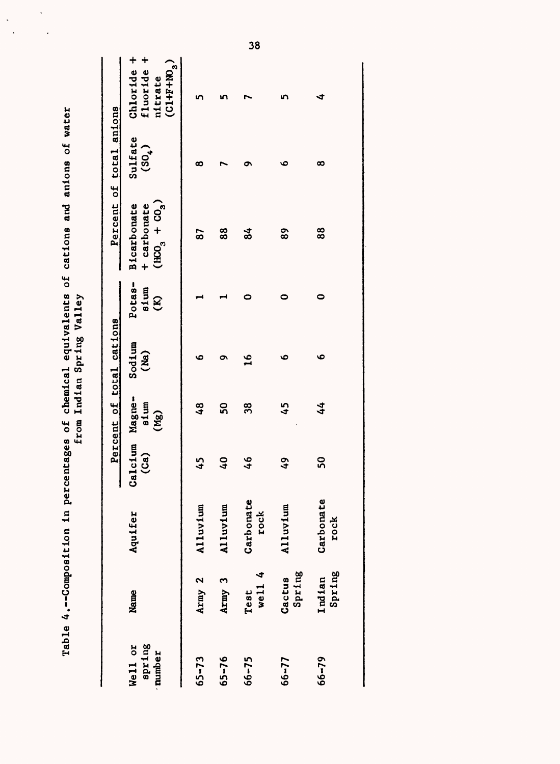|                             |                  |                   |                  |                        | from Indian Spring Valley |                                | Table 4.--Composition in percentages of chemical equivalents of cations and anions of water |                               |                                                   |
|-----------------------------|------------------|-------------------|------------------|------------------------|---------------------------|--------------------------------|---------------------------------------------------------------------------------------------|-------------------------------|---------------------------------------------------|
|                             |                  |                   |                  |                        | Percent of total cations  |                                |                                                                                             | Percent of total anions       |                                                   |
| spring<br>Well or<br>number | Name             | Aquifer           | Calcium<br>(Ca)  | Magne-<br>sium<br>(Mg) | Sodium<br>(Ma)            | Potas-<br>sium<br>$\mathbf{E}$ | $(HC0 + CO3)$<br>Bicarbonate<br>+ carbonate                                                 | Sulfate<br>(50 <sub>4</sub> ) | Chloride +<br>fluoride +<br>$(CL+FW3)$<br>nitrate |
| $65 - 73$                   | Army 2           | Alluvium          | 45               | $\frac{8}{4}$          | v٥                        |                                | 87                                                                                          | ထ                             |                                                   |
| $65 - 76$                   | Army 3           | Alluvium          | $\overline{6}$   | 50                     | ๛                         |                                | 88                                                                                          |                               |                                                   |
| $66 - 75$                   | well $4$<br>Test | Carbonate<br>rock | $\frac{6}{5}$    | 38                     | $\mathbf{a}$              |                                | $\frac{4}{3}$                                                                               | ດ                             |                                                   |
| $66 - 77$                   | Spring<br>Cactus | Alluvium          | $\boldsymbol{5}$ | 45                     | ص                         |                                | 89                                                                                          | ৩                             |                                                   |
| $66 - 79$                   | Spring<br>Indian | Carbonate<br>rock | SO               | 44                     | ؈                         | 0                              | 88                                                                                          | ∞                             | ◅                                                 |

 $\ddot{\phantom{0}}$ 

l.

 $\ddot{\phantom{a}}$  $\ddot{\phantom{1}}$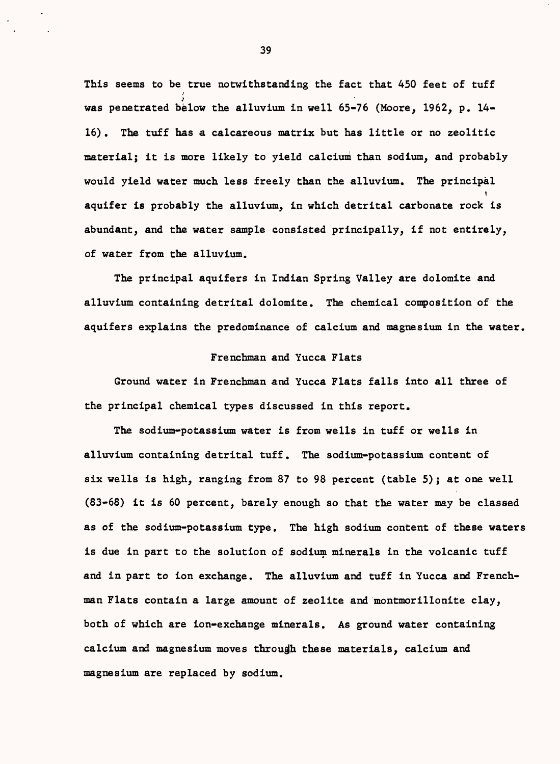This seems to be true notwithstanding the fact that 450 feet of tuff / was penetrated below the alluvium in well 65-76 (Moore, 1962, p. 14-16). The tuff has a calcareous matrix but has little or no zeolitic material; it is more likely to yield calcium than sodium, and probably would yield water much less freely than the alluvium. The principal  $\cdot$ aquifer is probably the alluvium, in which detrital carbonate rock is abundant, and the water sample consisted principally, if not entirely, of water from the alluvium.

The principal aquifers in Indian Spring Valley are dolomite and alluvium containing detrital dolomite. The chemical composition of the aquifers explains the predominance of calcium and magnesium in the water.

#### Frenchman and Yucca Flats

Ground water in Frenchman and Yucca Flats falls into all three of the principal chemical types discussed in this report.

The sodium-potassium water is from wells in tuff or wells in alluvium containing detrital tuff. The sodium-potassium content of six wells is high, ranging from 87 to 98 percent (table 5); at one well (83-68) it is 60 percent, barely enough so that the water may be classed as of the sodium-potassium type. The high sodium content of these waters is due in part to the solution of sodium minerals in the volcanic tuff and in part to ion exchange. The alluvium and tuff in Yucca and Frenchman Flats contain a large amount of zeolite and montmorillonite clay, both of which are ion-exchange minerals. As ground water containing calcium and magnesium moves through these materials, calcium and magnesium are replaced by sodium.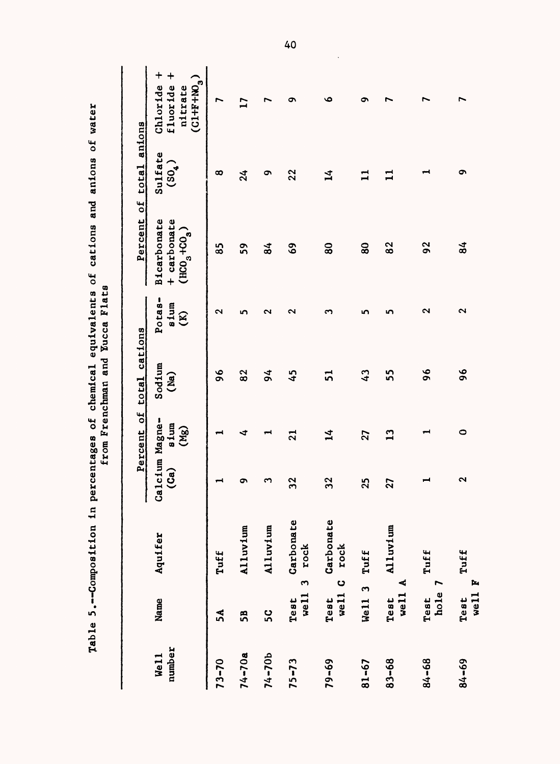|                | ・丶・】 ・ 1 1 1 1 1 1                   | Anternet is the chines |                       | i<br>0<br>1<br>1        | from Frenchman and Yucca Flats<br>;<br>;<br>; | j<br>į                                    | <br> <br> }                                      | <br> <br> <br> <br>           |                                                          |
|----------------|--------------------------------------|------------------------|-----------------------|-------------------------|-----------------------------------------------|-------------------------------------------|--------------------------------------------------|-------------------------------|----------------------------------------------------------|
|                |                                      |                        | ł                     |                         | Percent of total cations                      |                                           |                                                  | Percent of total anions       |                                                          |
| number<br>Well | Name                                 | Aquifer                | Calcium Magne-<br>(a) | sium<br>(Mg)            | Sodium<br>(Ma)                                | Potas-<br>sium<br>$\widehat{\mathcal{E}}$ | <b>Bicarbonate</b><br>+ carbonate<br>$(HC9+CO3)$ | Sulfate<br>(50 <sub>4</sub> ) | $\ddag$<br>$(CL+FW3)$<br>fluoride<br>Chloride<br>nitrate |
| $73 - 70$      | 5A                                   | Tuff                   |                       |                         | $\frac{6}{\sqrt{2}}$                          | $\sim$                                    | 85                                               | ∞                             | ∼                                                        |
| $74 - 70a$     | 58                                   | Alluvium               | ຶ                     | ₹                       | 82                                            | n                                         | 59                                               | $\frac{24}{3}$                | $\mathbf{r}$                                             |
| $74 - 70b$     | ပ္ပ                                  | Alluvium               | ო                     |                         | 94                                            | ∾                                         | $\frac{4}{3}$                                    | ە                             |                                                          |
| $75 - 73$      | $\mathbf{\tilde{z}}$<br>well<br>Test | Carbonate<br>rock      | 32                    | $\overline{\mathbf{2}}$ | 45                                            | ى                                         | 69                                               | 22                            | ᡡ                                                        |
| $79 - 69$      | $\bullet$<br>well<br>Test            | Carbonate<br>rock      | 32                    | $\overline{14}$         | ភ                                             | ຕ                                         | $\bf{8}$                                         | 그                             | ۰                                                        |
| $81 - 67$      | Well 3                               | Tuff                   | 25                    | 27                      | $\mathbf{C}$                                  | n                                         | $\bf{80}$                                        | $\mathbf{u}$                  | ໑                                                        |
| $83 - 68$      | ⋖<br>vel1<br>Test                    | Alluvium               | 27                    | $\mathbf{13}$           | 55                                            | n                                         | 82                                               | 급                             |                                                          |
| $84 - 68$      | L<br>hole<br>Test                    | Tuff                   |                       | ᆋ                       | $\frac{6}{ }$                                 | ฺี                                        | 92                                               |                               |                                                          |
| 84-69          | þ.<br>we <sub>11</sub><br>Test       | Tuff                   | 2                     | 0                       | $\frac{6}{3}$                                 | $\sim$                                    | $\overline{84}$                                  | ໑                             |                                                          |

Table 5.--Composition in percentages of chemical equivalents of cations and anions of water Table 5.--Composition in percentages of chemical equivalents of cations and anions of water 40

 $\ddot{\phantom{0}}$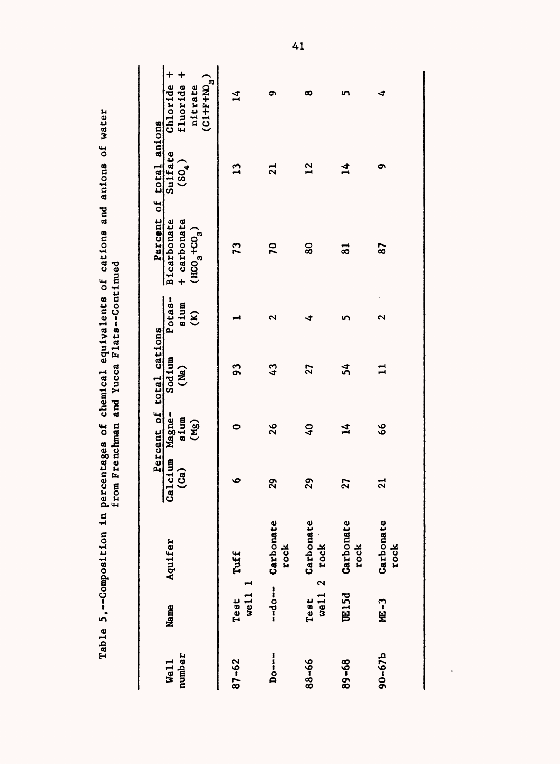| Table 5.--Composition in percentages of chemical equivalents of cations and anions of water<br>from Frenchman and Yucca Flats--Continued | Chloride +<br>fluoride +<br>$(CL+F+NO3)$<br>nitrate<br>Percent of total anions<br>Sulfate<br>$(SO_4)$<br><b>Bicarbonate</b><br>+ carbonate<br>$(HCO3 + CO3)$<br>Potas-<br>sium<br>$\mathbf{B}$<br>Percent of total cations<br>Sod 1um<br>(Ma)<br>Calcium Magne-<br>sium<br>(Mg)<br>(a)<br>Aquifer<br>Name | $\vec{r}$<br>$\mathbf{r}$<br>73<br>93<br>0<br>O<br>Tuff<br>well 1<br>Test | ూ<br>$\overline{2}$<br>$\mathbf{r}$<br>ى<br>43<br>26<br>$\mathbf{g}$<br>Carbonate<br>rock<br>$- -d$ o $- -$ | ထ<br>$\mathbf{r}$<br>80<br>∢<br>27<br>$\mathbf{Q}$<br>29<br>Carbonate<br>rock<br>well $2$<br>Test | n<br>$\mathbf{1}$<br>$\overline{\mathbf{5}}$<br>n<br>54<br>$\mathbf{1}^{\mathbf{4}}$<br>27<br>Carbonate<br>rock<br><b>UE15d</b> | ෑ<br>ᡡ<br>87<br>2<br>$\mathbf{I}$<br>$\boldsymbol{6}$<br>$\overline{21}$<br>Carbonate<br>rock<br>ME-3 |
|------------------------------------------------------------------------------------------------------------------------------------------|-----------------------------------------------------------------------------------------------------------------------------------------------------------------------------------------------------------------------------------------------------------------------------------------------------------|---------------------------------------------------------------------------|-------------------------------------------------------------------------------------------------------------|---------------------------------------------------------------------------------------------------|---------------------------------------------------------------------------------------------------------------------------------|-------------------------------------------------------------------------------------------------------|
|                                                                                                                                          |                                                                                                                                                                                                                                                                                                           |                                                                           |                                                                                                             |                                                                                                   |                                                                                                                                 |                                                                                                       |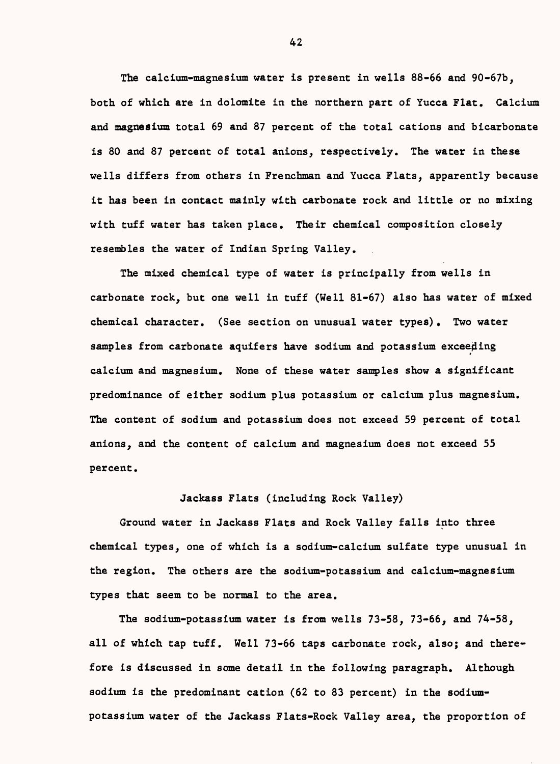The calcium-magnesium water is present in wells 88-66 and 90-67b, both of which are in dolomite in the northern part of Yucca Flat. Calcium and magnesium total 69 and 87 percent of the total cations and bicarbonate is 80 and 87 percent of total anions, respectively. The water in these wells differs from others in Frenchman and Yucca Flats, apparently because it has been in contact mainly with carbonate rock and little or no mixing with tuff water has taken place. Their chemical composition closely resembles the water of Indian Spring Valley.

The mixed chemical type of water is principally from wells in carbonate rock, but one well in tuff (Well 81-67) also has water of mixed chemical character. (See section on unusual water types). Two water samples from carbonate aquifers have sodium and potassium exceeding f calcium and magnesium. None of these water samples show a significant predominance of either sodium plus potassium or calcium plus magnesium. The content of sodium and potassium does not exceed 59 percent of total anions, and the content of calcium and magnesium does not exceed 55 percent.

### Jackass Flats (including Rock Valley)

Ground water in Jackass Flats and Rock Valley falls into three chemical types, one of which is a sodium-calcium sulfate type unusual in the region. The others are the sodium-potassium and calcium-magnesium types that seem to be normal to the area.

The sodium-potassium water is from wells 73-58, 73-66, and 74-58, all of which tap tuff. Well 73-66 taps carbonate rock, also; and therefore is discussed in some detail in the following paragraph. Although sodium is the predominant cation (62 to 83 percent) in the sodiumpotassium water of the Jackass Flats-Rock Valley area, the proportion of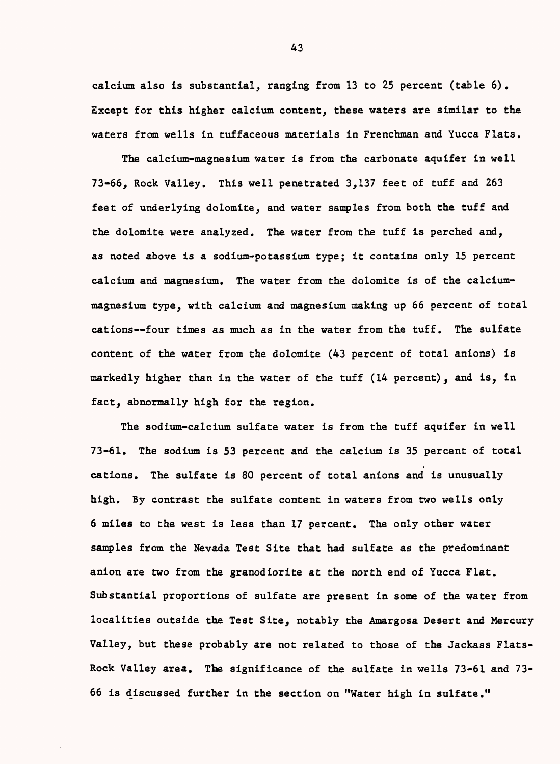calcium also is substantial, ranging from 13 to 25 percent (table 6). Except for this higher calcium content, these waters are similar to the waters from wells in tuffaceous materials in Frenchman and Yucca Flats.

The calcium-magnesium water is from the carbonate aquifer in well 73-66, Rock Valley. This well penetrated 3,137 feet of tuff and 263 feet of underlying dolomite, and water samples from both the tuff and the dolomite were analyzed. The water from the tuff is perched and, as noted above is a sodium-potassium type; it contains only 15 percent calcium and magnesium. The water from the dolomite is of the calciummagnesium type, with calcium and magnesium making up 66 percent of total cations--four times as much as in the water from the tuff. The sulfate content of the water from the dolomite (43 percent of total anions) is markedly higher than in the water of the tuff (14 percent), and is, in fact, abnormally high for the region.

The sodium-calcium sulfate water is from the tuff aquifer in well 73-61. The sodium is 53 percent and the calcium is 35 percent of total cations. The sulfate is 80 percent of total anions and is unusually high. By contrast the sulfate content in waters from two wells only 6 miles to the west is less than 17 percent. The only other water samples from the Nevada Test Site that had sulfate as the predominant anion are two from the granodiorite at the north end of Yucca Flat. Substantial proportions of sulfate are present in some of the water from localities outside the Test Site, notably the Amargosa Desert and Mercury Valley, but these probably are not related to those of the Jackass Flats-Rock Valley area. Tbe significance of the sulfate in wells 73-61 and 73- 66 is discussed further in the section on "Water high in sulfate.11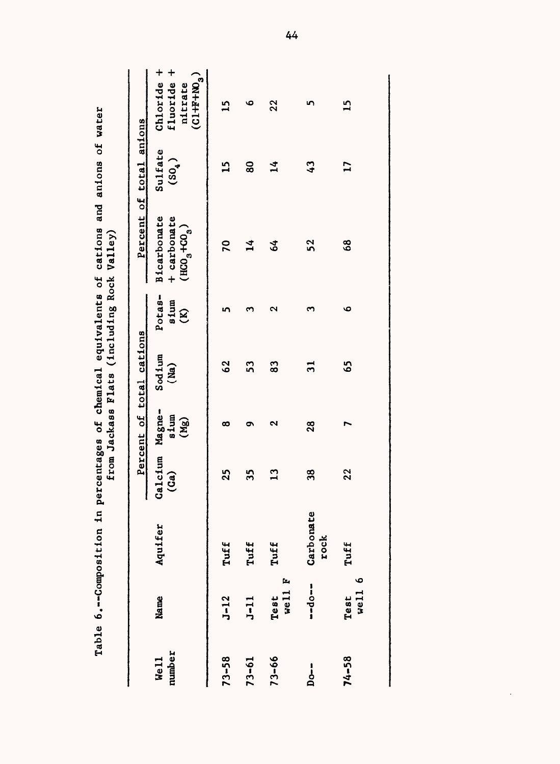|                            |                   | Table 6.--Composition in |                       |              |                             |                                | percentages of chemical equivalents of cations and anions of water<br>from Jackass Flats (including Rock Valley) |                               |                                                          |
|----------------------------|-------------------|--------------------------|-----------------------|--------------|-----------------------------|--------------------------------|------------------------------------------------------------------------------------------------------------------|-------------------------------|----------------------------------------------------------|
|                            |                   |                          |                       |              | Percent of total cations    |                                |                                                                                                                  | Percent of total anions       |                                                          |
| number<br>We <sub>11</sub> | Name              | Aquifer                  | Calcium Magne-<br>(a) | sium<br>(Mg) | Sod <sub>1</sub> um<br>(Ma) | Potas-<br>sium<br>$\mathbf{E}$ | <b>Bicarbonate</b><br>+ carbonate<br>$(HCO3+CO3)$                                                                | Sulfate<br>(50 <sub>4</sub> ) | fluoride +<br>Chloride +<br>$(0.1 + F + W_3)$<br>nitrate |
| $73 - 58$                  | $J-12$            | Tuff                     | 25                    | ∞            | 62                          | n                              | 70                                                                                                               | 15                            | 15                                                       |
| $73 - 61$                  | $J-11$            | Tuff                     | 35                    | ຶ            | 53                          | ო                              | $\overline{\mathbf{1}}$                                                                                          | $\overline{8}$                | ڡ                                                        |
| $73 - 66$                  | well F<br>Test    | Tuff                     | $\mathbf{r}$          | ິ            | 83                          | ى                              | \$                                                                                                               | $\frac{4}{1}$                 | 22                                                       |
| $Do-$                      | $-10 - 1$         | Carbonate<br>rock        | 38                    | 28           | $\vec{3}$                   | ო                              | 52                                                                                                               | $\boldsymbol{43}$             | ŋ                                                        |
| $74 - 58$                  | ڡ<br>well<br>Test | Tuff                     | 22                    |              | 65                          | م                              | 68                                                                                                               | $\mathbf{L}$                  | $\overline{1}$                                           |

| aposition in percentages of chemical equivalents of cations and anions of w |  |
|-----------------------------------------------------------------------------|--|
|                                                                             |  |
|                                                                             |  |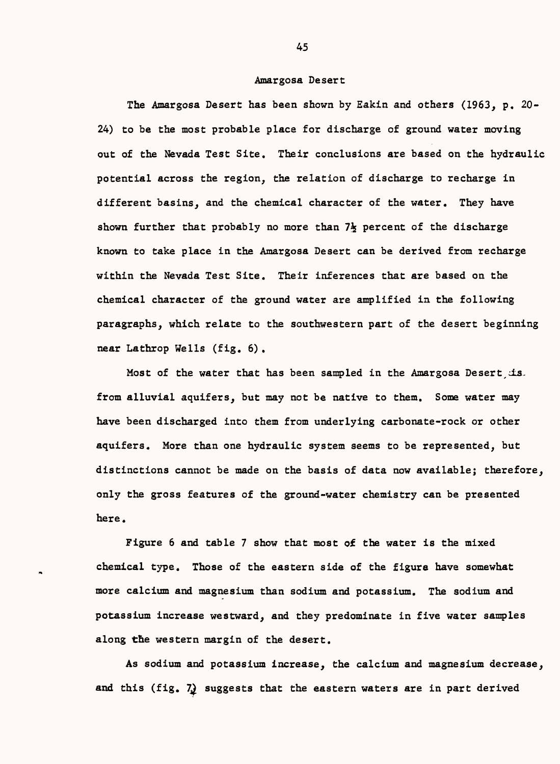#### Amargosa Desert

The Amargosa Desert has been shown by Eakin and others (1963, p. 20- 24) to be the most probable place for discharge of ground water moving out of the Nevada Test Site. Their conclusions are based on the hydraulic potential across the region, the relation of discharge to recharge in different basins, and the chemical character of the water. They have shown further that probably no more than  $7\frac{1}{2}$  percent of the discharge known to take place in the Amargosa Desert can be derived from recharge within the Nevada Test Site. Their inferences that are based on the chemical character of the ground water are amplified in the following paragraphs, which relate to the southwestern part of the desert beginning near Lathrop Wells (fig. 6) .

Most of the water that has been sampled in the Amargosa Desert is. from alluvial aquifers, but may not be native to them. Some water may have been discharged into them from underlying carbonate-rock or other aquifers. More than one hydraulic system seems to be represented, but distinctions cannot be made on the basis of data now available; therefore, only the gross features of the ground-water chemistry can be presented here.

Figure 6 and table 7 show that most of the water is the mixed chemical type. Those of the eastern side of the figure have somewhat more calcium and magnesium than sodium and potassium. The sodium and potassium increase westward, and they predominate in five water samples along the western margin of the desert.

As sodium and potassium increase, the calcium and magnesium decrease, and this (fig.  $7<sub>2</sub>$ ) suggests that the eastern waters are in part derived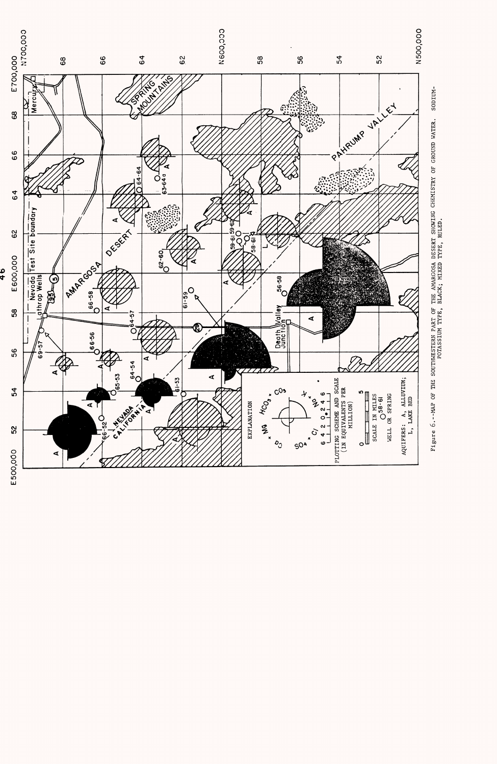



 $\frac{1}{4}$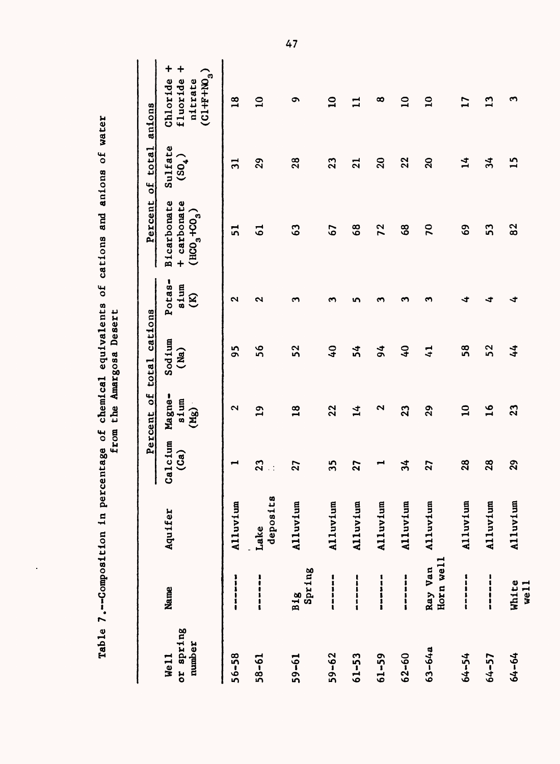|                             | Table 7.--Composition in pe                                      |                  | from<br>rcentage of          |                        | chemical equivalents<br>the Amargosa Desert | ð                                    | and<br>cations                                                             | $\mathbf{c}$<br>anions        | water                                                                  |
|-----------------------------|------------------------------------------------------------------|------------------|------------------------------|------------------------|---------------------------------------------|--------------------------------------|----------------------------------------------------------------------------|-------------------------------|------------------------------------------------------------------------|
|                             |                                                                  |                  |                              | Percent of             | total cations                               |                                      | Percent                                                                    | of total                      | anions                                                                 |
| or spring<br>number<br>We11 | Name                                                             | Aquifer          | Calcium<br>$\binom{Ca}{}$    | Magne-<br>sium<br>(Mg) | Sodium<br>(Ma)                              | 1<br>sium<br>Potas<br>$\mathfrak{S}$ | <b>Bicarbonate</b><br>+ carbonate<br>$($ HCO <sub>3</sub> +CO <sub>3</sub> | Sulfate<br>(50 <sub>4</sub> ) | +<br>$\ddag$<br>⌒<br>ø<br>fluoride<br>Chloride<br>(C1+F+NO)<br>nitrate |
| $56 - 58$                   | <b>B</b><br><b>B</b><br><b>B</b><br><b>B</b><br><b>B</b>         | Alluvium         | −                            | $\mathbf{\Omega}$      | 56                                          | N                                    | ភ                                                                          | $\vec{a}$                     | $\overline{18}$                                                        |
| $58 - 61$                   | $\begin{array}{c} \n 1 \\  \n 1 \\  \n 1 \\  \n 1\n \end{array}$ | deposits<br>Lake | 23<br>$\ddot{\phantom{0}}$ : | $\mathbf{a}$           | 56                                          | ົ                                    | 5                                                                          | 29                            | $\mathbf{a}$                                                           |
| $59 - 61$                   | Spring<br><b>B1g</b>                                             | Alluvium         | 27                           | 18                     | 52                                          | ຕ                                    | $\mathbf{c}_3$                                                             | 28                            | ຶ                                                                      |
| $59 - 62$                   |                                                                  | Alluvium         | 35                           | 22                     | $\mathbf{c}$                                | ∾                                    | 67                                                                         | 23                            | $\mathbf{a}$                                                           |
| $61 - 53$                   | ------                                                           | Alluvium         | 27                           | $\vec{r}$              | 54                                          | ທ                                    | $\frac{8}{6}$                                                              | $\overline{2}$                | 듸                                                                      |
| $61 - 59$                   | ------                                                           | Alluvium         | ↤                            | N                      | $\frac{4}{5}$                               | ∾                                    | 72                                                                         | 20                            | ∞                                                                      |
| $62 - 60$                   | <b><i><u><u><b>listin</b></u></u></i></b>                        | Alluvium         | $\frac{1}{2}$                | 23                     | $\mathbf{G}$                                |                                      | 3                                                                          | 22                            | $\mathbf{a}$                                                           |
| $63 - 64a$                  | Horn well<br>Ray Van                                             | Alluvium         | 27                           | 29                     | $\overline{4}$                              | m                                    | 70                                                                         | $\Omega$                      | $\mathbf{a}$                                                           |
| $64 - 54$                   | =<br>=<br>=<br>=                                                 | Alluvium         | 28                           | $\mathbf{a}$           | 58                                          | ⊀                                    | G9                                                                         | $\mathbf{1}$                  | $\mathbf{L}$                                                           |
| $64 - 57$                   | <br> <br> <br> <br>                                              | Alluvium         | 28                           | $\frac{6}{1}$          | 52                                          | ∢                                    | ິລ                                                                         | 34                            | $\mathbf{r}$                                                           |
| 64-64                       | White<br>well                                                    | Alluvium         | 29                           | 23                     | 44                                          | ∢                                    | 8 <sup>2</sup>                                                             | $\mathbf{15}$                 | ొ                                                                      |

Table 7.--Composition in percentage of chemical equivalents of cations and anions of water  $\overline{\phantom{a}}$  $\frac{1}{2}$  $\overline{\mathbf{r}}$ Ì  $\ddot{\phantom{0}}$ ្មដ  $\frac{1}{2}$  $\blacksquare$ Ñ é  $\ddot{ }$ ្ត្រី ÷  $\frac{1}{4}$ ပ္ပိ  $\overline{r}$  $\mathsf{Tab}_1$ 

 $\ddot{\phantom{0}}$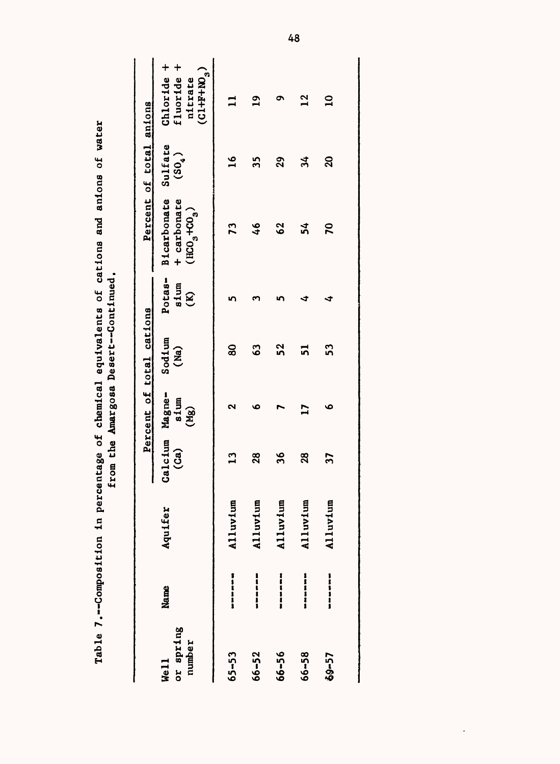|                             |                                                    |          |                       |              | from the Amargosa Desert--Continued. |                                |                                                                               |                         |                                                          |
|-----------------------------|----------------------------------------------------|----------|-----------------------|--------------|--------------------------------------|--------------------------------|-------------------------------------------------------------------------------|-------------------------|----------------------------------------------------------|
|                             |                                                    |          |                       |              | Percent of total cations             |                                |                                                                               | Percent of total anions |                                                          |
| or spring<br>number<br>Well | Name                                               | Aquifer  | Calcium Magne-<br>(a) | sium<br>(Mg) | Sodium<br>(Ma)                       | Potas-<br>sium<br>$\mathbf{g}$ | Bicarbonate Sulfate<br>+ carbonate<br>$($ HCO <sub>3</sub> +CO <sub>3</sub> ) | $(S_{0_4})$             | Chloride +<br>fluoride +<br>$(0.1 + F + W_3)$<br>nitrate |
| $65 - 53$                   | <b>B</b> 1<br><b>B</b> 1<br><b>B</b> 1<br><b>B</b> | Alluvium | $\mathbf{u}$          | ભ            | 80                                   | ທ                              | 73                                                                            | $\mathbf{a}$            |                                                          |
| 66-52                       | <b>Heese</b>                                       | Alluvium | 28                    | ۰            | 3                                    |                                | 46                                                                            | 35                      | $\mathbf{a}$                                             |
| 66-56                       | =<br>=<br>=<br>=                                   | Alluvium | 36                    |              | <u>ูว</u>                            |                                | 62                                                                            | 29                      | ຸດ                                                       |
| 66-58                       | <b>Manushi</b>                                     | Alluvium | $\boldsymbol{3}$      | $\mathbf{r}$ | ភ                                    | ∢                              | วั                                                                            | ≭                       | $\mathbf{u}$                                             |
| 69-57                       | <b>USUNU</b>                                       | Alluvium | 57                    | ڡ            | 53                                   | 寸                              | $\mathbf{r}$                                                                  | $\mathbf{S}$            | $\mathbf{a}$                                             |
|                             |                                                    |          |                       |              |                                      |                                |                                                                               |                         |                                                          |

Table 7.--Composition in percentage of chemical equivalents of cations and anions of water Table 7.--Composition in percentage of chemical equivalents of cations and anions of water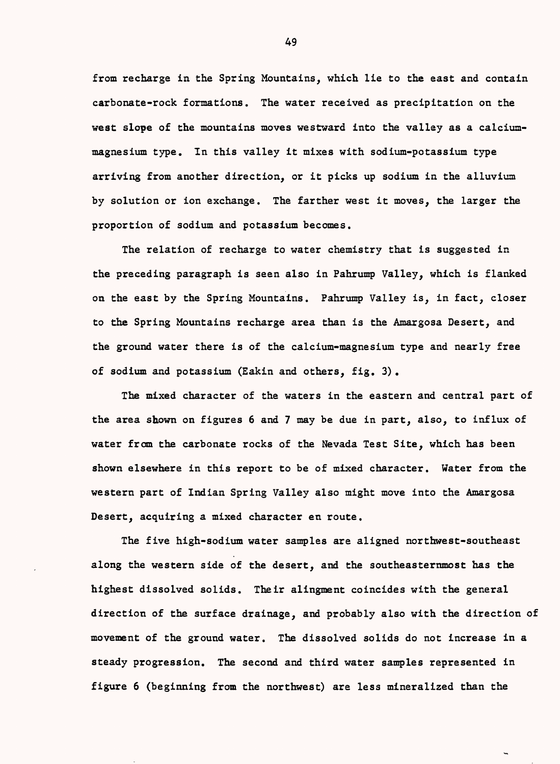from recharge in the Spring Mountains, which lie to the east and contain carbonate-rock formations. The water received as precipitation on the west slope of the mountains moves westward into the valley as a calciummagnesium type. In this valley it mixes with sodium-potassium type arriving from another direction, or it picks up sodium in the alluvium by solution or ion exchange. The farther west it moves, the larger the proportion of sodium and potassium becomes.

The relation of recharge to water chemistry that is suggested in the preceding paragraph is seen also in Pahrump Valley, which is flanked on the east by the Spring Mountains. Pahrump Valley is, in fact, closer to the Spring Mountains recharge area than is the Amargosa Desert, and the ground water there is of the calcium-magnesium type and nearly free of sodium and potassium (Eakin and others, fig. 3) .

The mixed character of the waters in the eastern and central part of the area shown on figures 6 and 7 may be due in part, also, to influx of water from the carbonate rocks of the Nevada Test Site, which has been shown elsewhere in this report to be of mixed character. Water from the western part of Indian Spring Valley also might move into the Amargosa Desert, acquiring a mixed character en route.

The five high-sodium water samples are aligned northwest-southeast along the western side of the desert, and the southeasternmost has the highest dissolved solids. Their alingment coincides with the general direction of the surface drainage, and probably also with the direction of movement of the ground water. The dissolved solids do not increase in a steady progression. The second and third water samples represented in figure 6 (beginning from the northwest) are less mineralized than the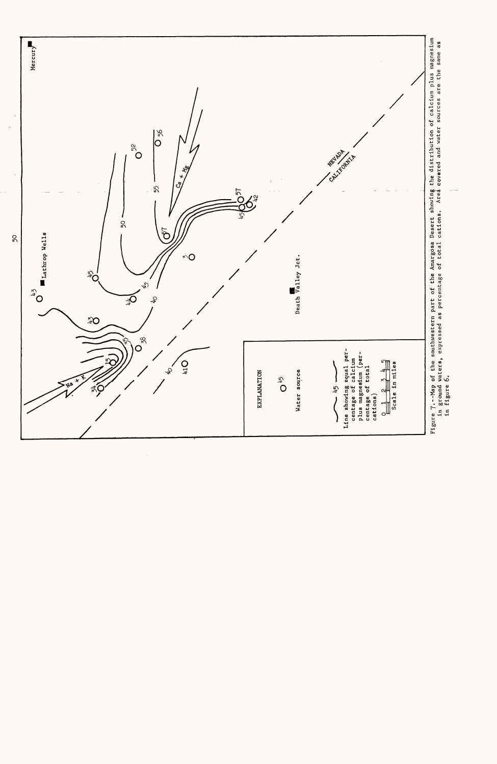

 $50\,$ 

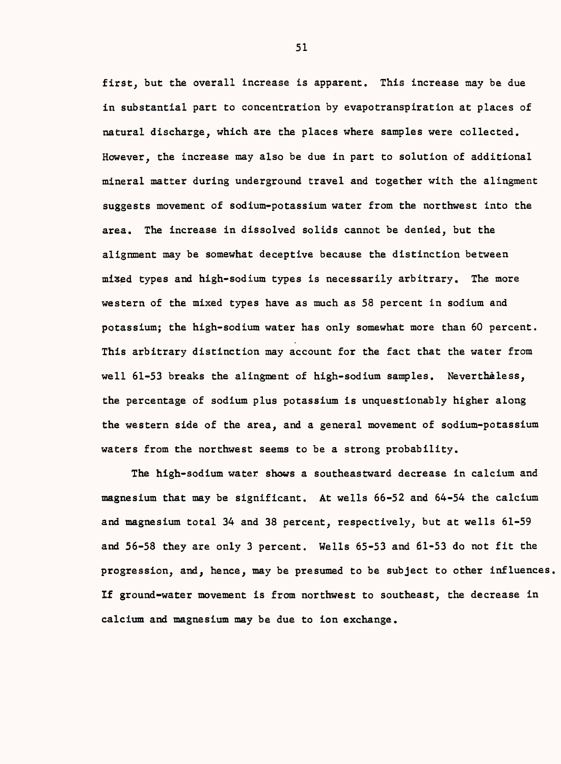first, but the overall increase is apparent. This increase may be due in substantial part to concentration by evapotranspiration at places of natural discharge, which are the places where samples were collected. However, the increase may also be due in part to solution of additional mineral matter during underground travel and together with the alingment suggests movement of sodium-potassium water from the northwest into the area. The increase in dissolved solids cannot be denied, but the alignment may be somewhat deceptive because the distinction between mixed types and high-sodium types is necessarily arbitrary. The more western of the mixed types have as much as 58 percent in sodium and potassium; the high-sodium water has only somewhat more than 60 percent. This arbitrary distinction may account for the fact that the water from well 61-53 breaks the alingment of high-sodium samples. Nevertheless, the percentage of sodium plus potassium is unquestionably higher along the western side of the area, and a general movement of sodium-potassium waters from the northwest seems to be a strong probability.

The high-sodium water shows a southeastward decrease in calcium and magnesium that may be significant. At wells 66-52 and 64-54 the calcium and magnesium total 34 and 38 percent, respectively, but at wells 61-59 and 56-58 they are only 3 percent. Wells 65-53 and 61-53 do not fit the progression, and, hence, may be presumed to be subject to other influences If ground-water movement is from northwest to southeast, the decrease in calcium and magnesium may be due to ion exchange.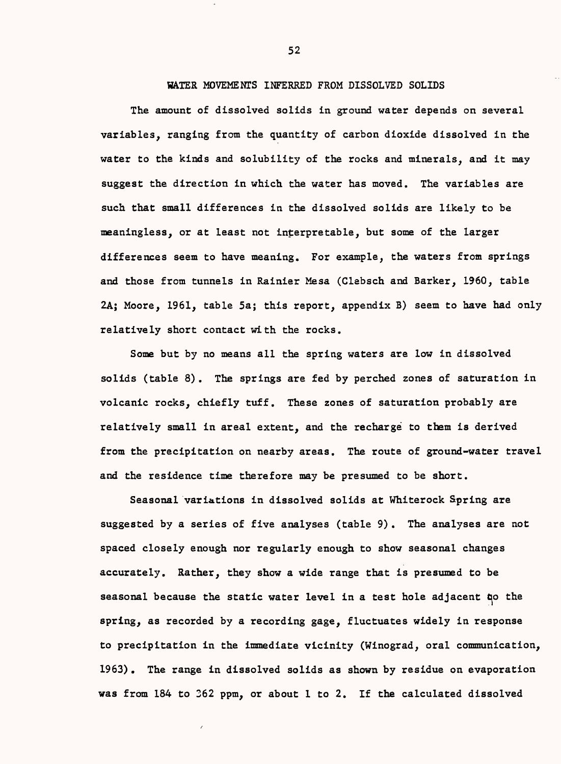## W&TER MOVEMENTS INFERRED FROM DISSOLVED SOLIDS

The amount of dissolved solids in ground water depends on several variables, ranging from the quantity of carbon dioxide dissolved in the water to the kinds and solubility of the rocks and minerals, and it may suggest the direction in which the water has moved. The variables are such that small differences in the dissolved solids are likely to be meaningless, or at least not interpretable, but some of the larger differences seem to have meaning. For example, the waters from springs and those from tunnels in Rainier Mesa (Clebsch and Barker, 1960, table 2A; Moore, 1961, table 5a; this report, appendix B) seem to have had only relatively short contact with the rocks.

Some but by no means all the spring waters are low in dissolved solids (table 8). The springs are fed by perched zones of saturation in volcanic rocks, chiefly tuff. These zones of saturation probably are relatively small in areal extent, and the recharge to them is derived from the precipitation on nearby areas. The route of ground-water travel and the residence time therefore may be presumed to be short.

Seasonal variations in dissolved solids at Whiterock Spring are suggested by a series of five analyses (table 9). The analyses are not spaced closely enough nor regularly enough to show seasonal changes accurately. Rather, they show a wide range that is presumed to be seasonal because the static water level in a test hole adjacent too the spring, as recorded by a recording gage, fluctuates widely in response to precipitation in the immediate vicinity (Winograd, oral communication, 1963) . The range in dissolved solids as shown by residue on evaporation was from 184 to 362 ppm, or about 1 to 2. If the calculated dissolved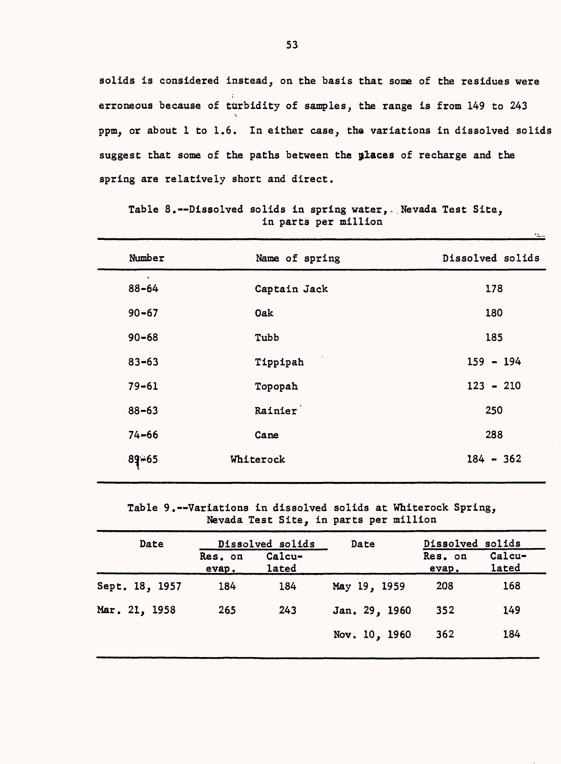solids is considered instead, on the basis that some of the residues were erroneous because of turbidity of samples, the range is from 149 to 243 s ppm, or about 1 to 1.6. In either case, the variations in dissolved solids suggest that some of the paths between the places of recharge and the spring are relatively short and direct.

| Number                 | Name of spring | Dissolved solids |
|------------------------|----------------|------------------|
| $\bullet$<br>$88 - 64$ | Captain Jack   | 178              |
| $90 - 67$              | Oak            | 180              |
| $90 - 68$              | Tubb           | 185              |
| $83 - 63$              | Tippipah       | $159 - 194$      |
| $79 - 61$              | Topopah        | $123 - 210$      |
| $88 - 63$              | Rainier        | 250              |
| $74 - 66$              | Cane           | 288              |
| $89 - 65$              | Whiterock      | $184 - 362$      |

Table 8.--Dissolved solids in spring water, Nevada Test Site, in parts per million

 $\pm$ 

Table 9.--Variations in dissolved solids at Whiterock Spring, Nevada Test Site, in parts per million

| Date           |                  | Dissolved solids | Date          | Dissolved solids |                 |
|----------------|------------------|------------------|---------------|------------------|-----------------|
|                | Res. on<br>evap. | Calcu-<br>lated  |               | Res. on<br>evap. | Calcu-<br>lated |
| Sept. 18, 1957 | 184              | 184              | May 19, 1959  | 208              | 168             |
| Mar. 21, 1958  | 265              | 243              | Jan. 29, 1960 | 352              | 149             |
|                |                  |                  | Nov. 10, 1960 | 362              | 184             |
|                |                  |                  |               |                  |                 |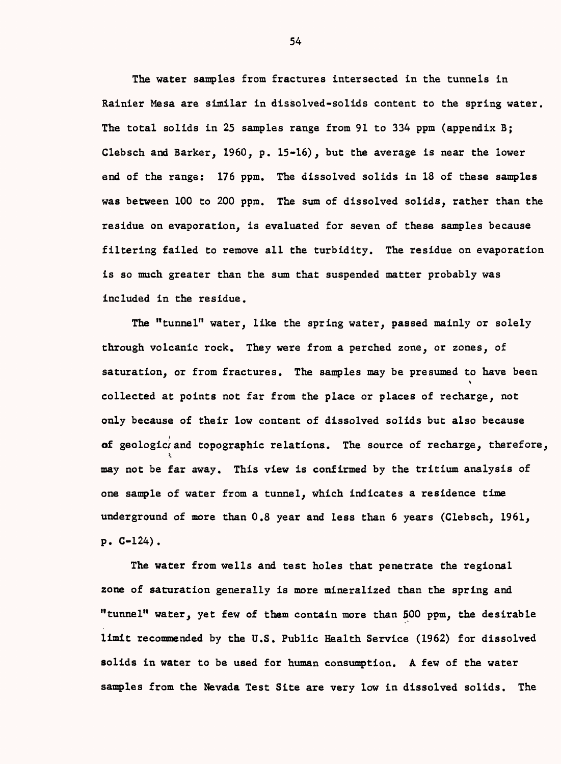The water samples from fractures intersected in the tunnels in Rainier Mesa are similar in dissolved-solids content to the spring water. The total solids in 25 samples range from 91 to 334 ppm (appendix 3; Clebsch and Barker, I960, p. 15-16), but the average is near the lower end of the range: 176 ppm. The dissolved solids in 18 of these samples was between 100 to 200 ppm. The sum of dissolved solids, rather than the residue on evaporation, is evaluated for seven of these samples because filtering failed to remove all the turbidity. The residue on evaporation is so much greater than the sum that suspended matter probably was included in the residue.

The "tunnel" water, like the spring water, passed mainly or solely through volcanic rock. They were from a perched zone, or zones, of saturation, or from fractures. The samples may be presumed to have been  $\ddot{\phantom{0}}$ collected at points not far from the place or places of recharge, not only because of their low content of dissolved solids but also because of geologic<sup>2</sup> and topographic relations. The source of recharge, therefore, may not be far away. This view is confirmed by the tritium analysis of one sample of water from a tunnel, which indicates a residence time underground of more than 0.8 year and less than 6 years (Clebsch, 1961, p. C-124).

The water from wells and test holes that penetrate the regional zone of saturation generally is more mineralized than the spring and "tunnel" water, yet few of them contain more than 500 ppm, the desirable limit recommended by the U.S. Public Health Service (1962) for dissolved solids in water to be used for human consumption. A few of the water samples from the Nevada Test Site are very low in dissolved solids. The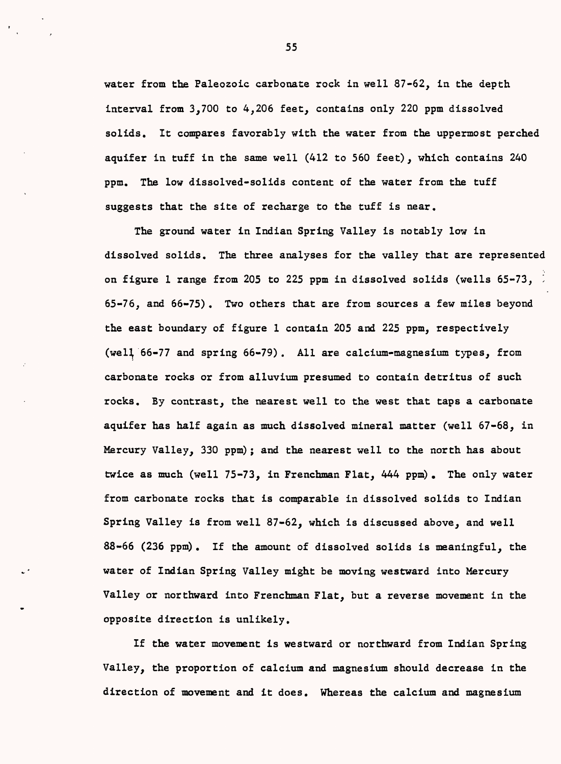water from the Paleozoic carbonate rock in well 87-62, in the depth interval from 3,700 to 4,206 feet, contains only 220 ppm dissolved solids. It compares favorably with the water from the uppermost perched aquifer in tuff in the same well (412 to 560 feet), which contains 240 ppm. The low dissolved-solids content of the water from the tuff suggests that the site of recharge to the tuff is near.

The ground water in Indian Spring Valley is notably low in dissolved solids. The three analyses for the valley that are represented on figure 1 range from 205 to 225 ppm in dissolved solids (wells  $65-73$ ,  $\frac{1}{2}$ 65-76, and 66-75). Two others that are from sources a few miles beyond the east boundary of figure 1 contain 205 and 225 ppm, respectively (weH 66-77 and spring 66-79) . All are calcium-magnesium types, from carbonate rocks or from alluvium presumed to contain detritus of such rocks. By contrast, the nearest well to the west that taps a carbonate aquifer has half again as much dissolved mineral matter (well 67-68, in Mercury Valley, 330 ppm) ; and the nearest well to the north has about twice as much (well 75-73, in Frenchman Flat, 444 ppm) . The only water from carbonate rocks that is comparable in dissolved solids to Indian Spring Valley is from well 87-62, which is discussed above, and well 88-66 (236 ppm). If the amount of dissolved solids is meaningful, the water of Indian Spring Valley might be moving westward into Mercury Valley or northward into Frenchman Flat, but a reverse movement in the opposite direction is unlikely.

If the water movement is westward or northward from Indian Spring Valley, the proportion of calcium and magnesium should decrease in the direction of movement and it does. Whereas the calcium and magnesium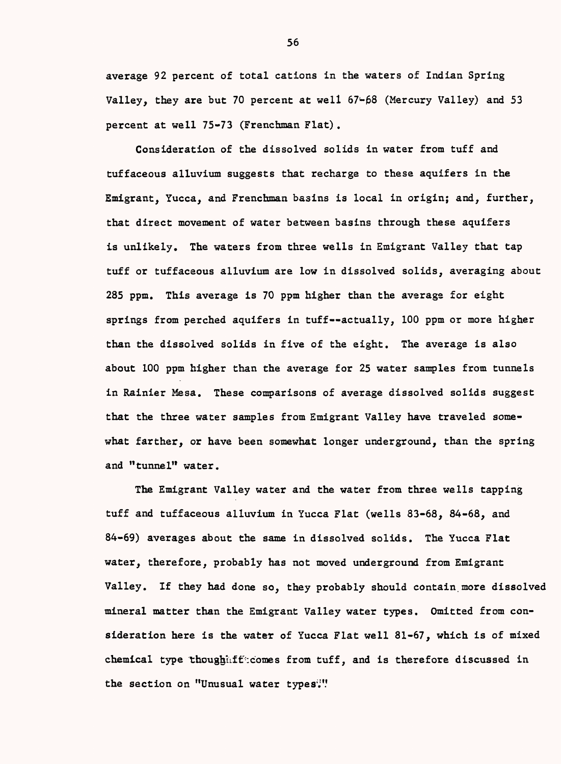average 92 percent of total cations in the waters of Indian Spring Valley, they are but 70 percent at well  $67-68$  (Mercury Valley) and 53 percent at well 75-73 (Frenchman Flat).

Consideration of the dissolved solids in water from tuff and tuffaceous alluvium suggests that recharge to these aquifers in the Emigrant, Yucca, and Frenchman basins is local in origin; and, further, that direct movement of water between basins through these aquifers is unlikely. The waters from three wells in Emigrant Valley that tap tuff or tuffaceous alluvium are low in dissolved solids, averaging about 285 ppm. This average is 70 ppm higher than the average for eight springs from perched aquifers in tuff--actually, 100 ppm or more higher than the dissolved solids in five of the eight. The average is also about 100 ppm higher than the average for 25 water samples from tunnels in Rainier Mesa. These comparisons of average dissolved solids suggest that the three water samples from Emigrant Valley have traveled somewhat farther, or have been somewhat longer underground, than the spring and "tunnel" water.

The Emigrant Valley water and the water from three wells tapping tuff and tuffaceous alluvium in Yucca Flat (wells 83-68, 84-68, and 84-69) averages about the same in dissolved solids. The Yucca Flat water, therefore, probably has not moved underground from Emigrant Valley. If they had done so, they probably should contain more dissolved mineral matter than the Emigrant Valley water types. Omitted from consideration here is the water of Yucca Flat well 81-67, which is of mixed chemical type thoughtifficomes from tuff, and is therefore discussed in the section on "Unusual water types'."'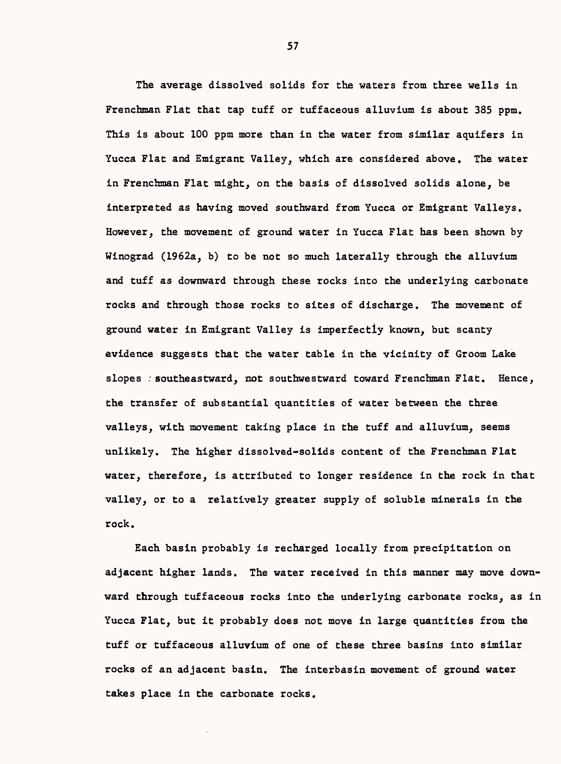The average dissolved solids for the waters from three wells in Frenchman Flat that tap tuff or tuffaceous alluvium is about 385 ppm. This is about 100 ppm more than in the water from similar aquifers in Yucca Flat and Emigrant Valley, which are considered above. The water in Frenchman Flat might, on the basis of dissolved solids alone, be interpreted as having moved southward from Yucca or Emigrant Valleys. However, the movement of ground water in Yucca Flat has been shown by Winograd (1962a, b) to be not so much laterally through the alluvium and tuff as downward through these rocks into the underlying carbonate rocks and through those rocks to sites of discharge. The movement of ground water in Emigrant Valley is imperfectly known, but scanty evidence suggests that the water table in the vicinity of Groom Lake slopes : southeastward, not southwestward toward Frenchman Flat. Hence, the transfer of substantial quantities of water between the three valleys, with movement taking place in the tuff and alluvium, seems unlikely. The higher dissolved-solids content of the Frenchman Flat water, therefore, is attributed to longer residence in the rock in that valley, or to a relatively greater supply of soluble minerals in the rock.

Each basin probably is recharged locally from precipitation on adjacent higher lands. The water received in this manner may move downward through tuffaceous rocks into the underlying carbonate rocks, as in Yucca Flat, but it probably does not move in large quantities from the tuff or tuffaceous alluvium of one of these three basins into similar rocks of an adjacent basin. The interbasin movement of ground water takes place in the carbonate rocks.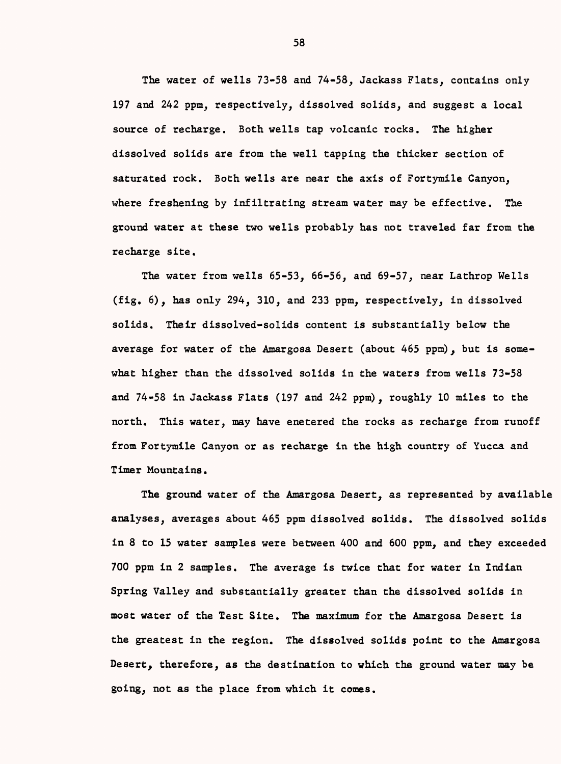The water of wells 73-58 and 74-58, Jackass Flats, contains only 197 and 242 ppm, respectively, dissolved solids, and suggest a local source of recharge. Both wells tap volcanic rocks. The higher dissolved solids are from the well tapping the thicker section of saturated rock. Both wells are near the axis of Fortymile Canyon, where freshening by infiltrating stream water may be effective. The ground water at these two wells probably has not traveled far from the recharge site.

The water from wells 65-53, 66-56, and 69-57, near Lathrop Wells (fig. 6), has only 294, 310, and 233 ppm, respectively, in dissolved solids. Their dissolved-solids content is substantially below the average for water of the Amargosa Desert (about 465 ppm), but is somewhat higher than the dissolved solids in the waters from wells 73-58 and 74-58 in Jackass Flats (197 and 242 ppm), roughly 10 miles to the north. This water, may have enetered the rocks as recharge from runoff from Fortymile Canyon or as recharge in the high country of Yucca and Timer Mountains.

The ground water of the Amargosa Desert, as represented by available analyses, averages about 465 ppm dissolved solids. The dissolved solids in 8 to 15 water samples were between 400 and 600 ppm, and they exceeded 700 ppm in 2 samples. The average is twice that for water in Indian Spring Valley and substantially greater than the dissolved solids in most water of the Test Site. The maximum for the Amargosa Desert is the greatest in the region. The dissolved solids point to the Amargosa Desert, therefore, as the destination to which the ground water may be going, not as the place from which it comes.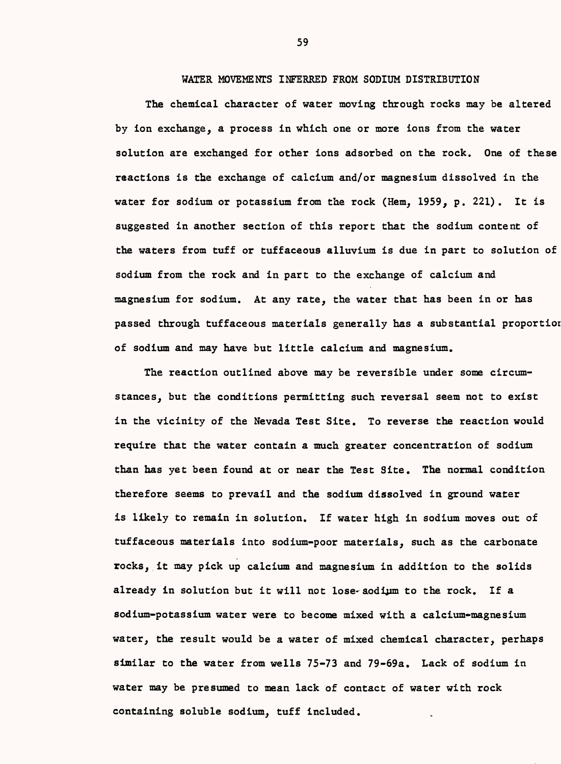WATER MOVEMENTS INFERRED FROM SODIUM DISTRIBUTION

The chemical character of water moving through rocks may be altered by ion exchange, a process in which one or more ions from the water solution are exchanged for other ions adsorbed on the rock. One of these reactions is the exchange of calcium and/or magnesium dissolved in the water for sodium or potassium from the rock (Hem, 1959, p. 221). It is suggested in another section of this report that the sodium content of the waters from tuff or tuffaceous alluvium is due in part to solution of sodium from the rock and in part to the exchange of calcium and magnesium for sodium. At any rate, the water that has been in or has passed through tuffaceous materials generally has a substantial proportior of sodium and may have but little calcium and magnesium.

The reaction outlined above may be reversible under some circumstances, but the conditions permitting such reversal seem not to exist in the vicinity of the Nevada Test Site. To reverse the reaction would require that the water contain a much greater concentration of sodium than has yet been found at or near the Test Site. The normal condition therefore seems to prevail and the sodium dissolved in ground water is likely to remain in solution. If water high in sodium moves out of tuffaceous materials into sodium-poor materials, such as the carbonate rocks, it may pick up calcium and magnesium in addition to the solids already in solution but it will not lose- aodium to the rock. If a sodium-potassium water were to become mixed with a calcium-magnesium water, the result would be a water of mixed chemical character, perhaps similar to the water from wells 75-73 and 79-69a. Lack of sodium in water may be presumed to mean lack of contact of water with rock containing soluble sodium, tuff included.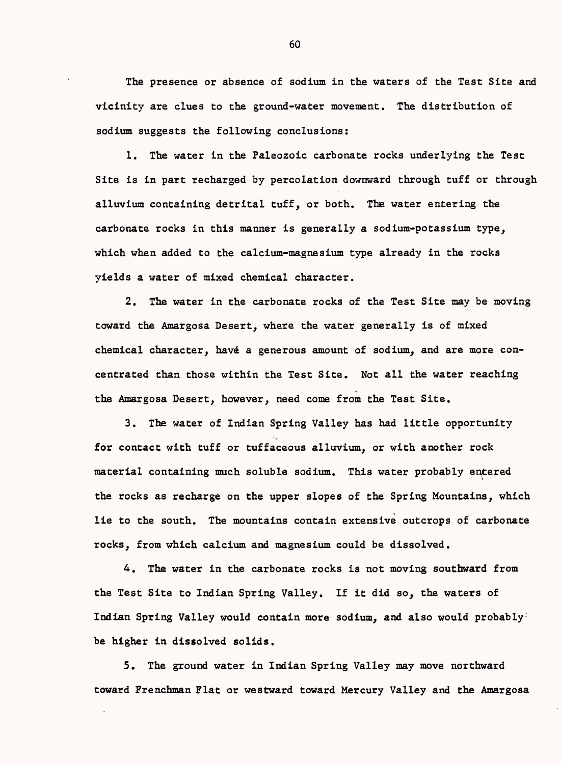The presence or absence of sodium in the waters of the Test Site and vicinity are clues to the ground-water movement. The distribution of sodium suggests the following conclusions:

1. The water in the Paleozoic carbonate rocks underlying the Test Site is in part recharged by percolation downward through tuff or through alluvium containing detrital tuff, or both. The water entering the carbonate rocks in this manner is generally a sodium-potassium type, which when added to the calcium-magnesium type already in the rocks yields a water of mixed chemical character.

2. The water in the carbonate rocks of the Test Site may be moving toward the Amargosa Desert, where the water generally is of mixed chemical character, have a generous amount of sodium, and are more concentrated than those within the Test Site. Not all the water reaching the Amargosa Desert, however, need come from the Test Site.

3. The water of Indian Spring Valley has had little opportunity for contact with tuff or tuffaceous alluvium, or with another rock material containing much soluble sodium. This water probably entered the rocks as recharge on the upper slopes of the Spring Mountains, which lie to the south. The mountains contain extensive outcrops of carbonate rocks, from which calcium and magnesium could be dissolved.

4. The water in the carbonate rocks is not moving southward from the Test Site to Indian Spring Valley. If it did so, the waters of Indian Spring Valley would contain more sodium, and also would probably be higher in dissolved solids.

5. The ground water in Indian Spring Valley may move northward toward Frenchman Flat or westward toward Mercury Valley and the Amargosa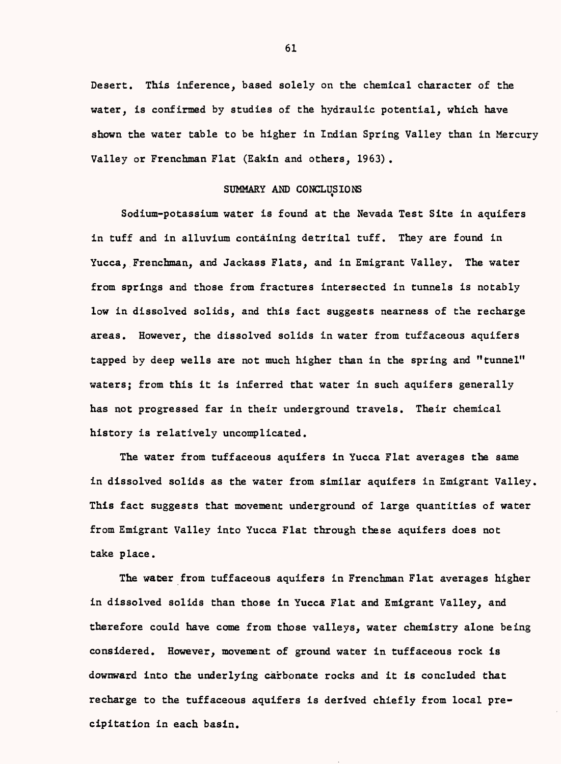Desert. This inference, based solely on the chemical character of the water, is confirmed by studies of the hydraulic potential, which have shown the water table to be higher in Indian Spring Valley than in Mercury Valley or Frenchman Flat (Eakin and others, 1963) .

#### SUMMARY AND CONCLUSIONS

Sodium-potassium water is found at the Nevada Test Site in aquifers in tuff and in alluvium containing detrital tuff. They are found in Yucca, Frenchman, and Jackass Flats, and in Emigrant Valley. The water from springs and those from fractures intersected in tunnels is notably low in dissolved solids, and this fact suggests nearness of the recharge areas. However, the dissolved solids in water from tuffaceous aquifers tapped by deep wells are not much higher than in the spring and "tunnel" waters; from this it is inferred that water in such aquifers generally has not progressed far in their underground travels. Their chemical history is relatively uncomplicated.

The water from tuffaceous aquifers in Yucca Flat averages the same in dissolved solids as the water from similar aquifers in Emigrant Valley. This fact suggests that movement underground of large quantities of water from Emigrant Valley into Yucca Flat through these aquifers does not take place.

The water from tuffaceous aquifers in Frenchman Flat averages higher in dissolved solids than those in Yucca Flat and Emigrant Valley, and therefore could have come from those valleys, water chemistry alone being considered. However, movement of ground water in tuffaceous rock is downward into the underlying carbonate rocks and it is concluded that recharge to the tuffaceous aquifers is derived chiefly from local precipitation in each basin.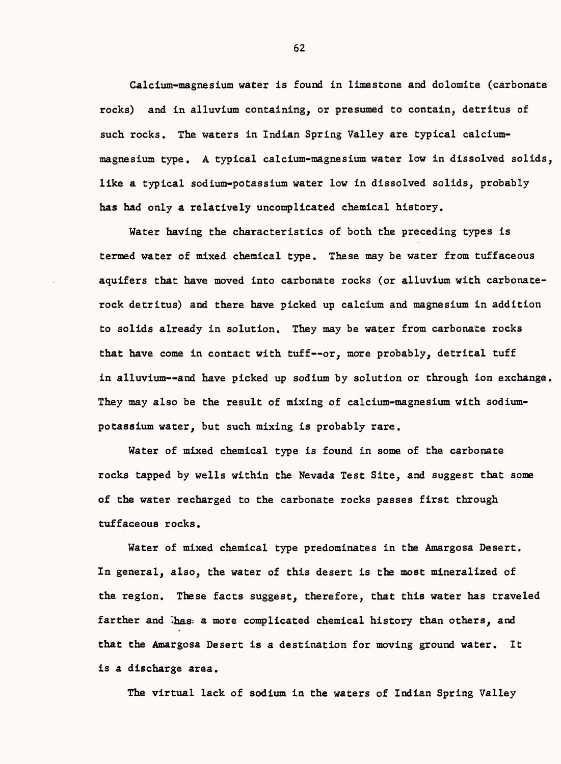Calcium-magnesium water is found in limestone and dolomite (carbonate rocks) and in alluvium containing, or presumed to contain, detritus of such rocks. The waters in Indian Spring Valley are typical calciummagnesium type. A typical calcium-magnesium water low in dissolved solids, like a typical sodium-potassium water low in dissolved solids, probably has had only a relatively uncomplicated chemical history.

Water having the characteristics of both the preceding types is termed water of mixed chemical type. These may be water from tuffaceous aquifers that have moved into carbonate rocks (or alluvium with carbonaterock detritus) and there have picked up calcium and magnesium in addition to solids already in solution. They may be water from carbonate rocks that have come in contact with tuff--or, more probably, detrital tuff in alluvium--and have picked up sodium by solution or through ion exchange. They may also be the result of mixing of calcium-magnesium with sodiumpotassium water, but such mixing is probably rare.

Water of mixed chemical type is found in some of the carbonate rocks tapped by wells within the Nevada Test Site, and suggest that some of the water recharged to the carbonate rocks passes first through tuffaceous rocks.

Water of mixed chemical type predominates in the Amargosa Desert. In general, also, the water of this desert is the most mineralized of the region. These facts suggest, therefore, that this water has traveled farther and Thas a more complicated chemical history than others, and that the Amargosa Desert is a destination for moving ground water. It is a discharge area.

The virtual lack of sodium in the waters of Indian Spring Valley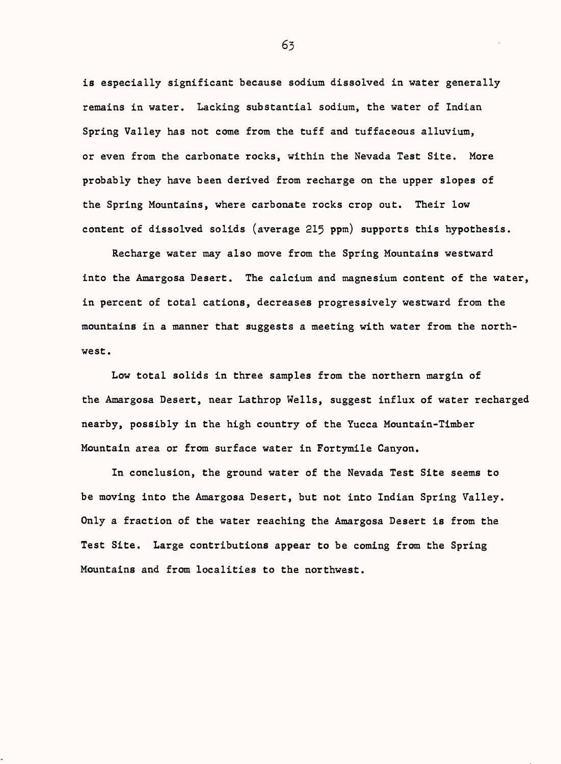is especially significant because sodium dissolved in water generally remains in water. Lacking substantial sodium, the water of Indian Spring Valley has not come from the tuff and tuffaceous alluvium, or even from the carbonate rocks, within the Nevada Test Site. More probably they have been derived from recharge on the upper slopes of the Spring Mountains, where carbonate rocks crop out. Their low content of dissolved solids (average 215 ppm) supports this hypothesis.

Recharge water may also move from the Spring Mountains westward into the Amargosa Desert. The calcium and magnesium content of the water, in percent of total cations, decreases progressively westward from the mountains in a manner that suggests a meeting with water from the northwest.

Low total solids in three samples from the northern margin of the Amargosa Desert, near Lathrop Wells, suggest influx of water recharged nearby, possibly in the high country of the Yucca Mountain-Timber Mountain area or from surface water in Fortymile Canyon.

In conclusion, the ground water of the Nevada Test Site seems to be moving into the Amargosa Desert, but not into Indian Spring Valley. Only a fraction of the water reaching the Amargosa Desert is from the Test Site. Large contributions appear to be coming from the Spring Mountains and from localities to the northwest.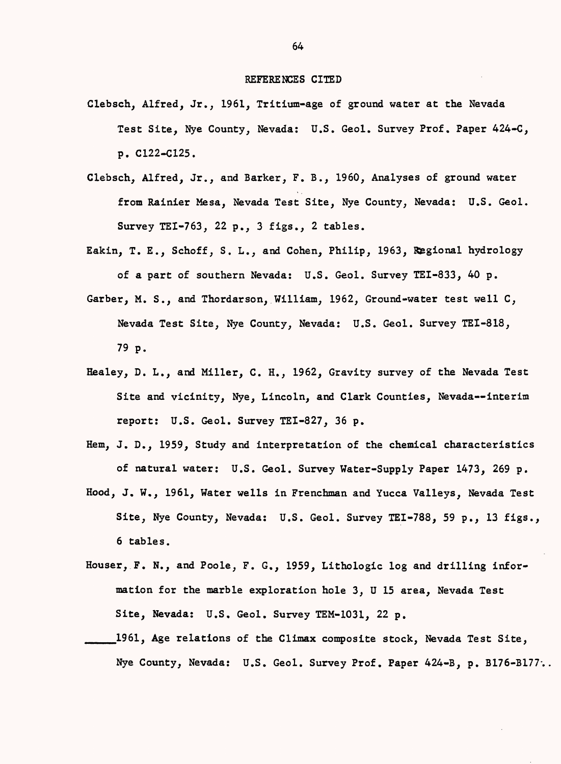#### REFERENCES CITED

- Clebsch, Alfred, Jr., 1961, Tritium-age of ground water at the Nevada Test Site, Nye County, Nevada: U.S. Geol. Survey Prof. Paper 424-C, p. C122-C125.
- Clebsch, Alfred, Jr., and Barker, F. B., 1960, Analyses of ground water from Rainier Mesa, Nevada Test Site, Nye County, Nevada: U.S. Geol. Survey TEI-763, 22 p., 3 figs., 2 tables.
- Eakin, T. E., Schoff, S. L., and Cohen, Philip, 1963, Regional hydrology of a part of southern Nevada: U.S. Geol. Survey TEI-833, 40 p.
- Garber, M. S., and Thordarson, William, 1962, Ground-water test well C, Nevada Test Site, Nye County, Nevada: U.S. Geol. Survey TEI-818, 79 p.
- Healey, D. L., and Miller, C. H., 1962, Gravity survey of the Nevada Test Site and vicinity, Nye, Lincoln, and Clark Counties, Nevada--interim report: U.S. Geol. Survey TEI-827, 36 p.
- Hem, J. D., 1959, Study and interpretation of the chemical characteristics of natural water: U.S. Geol. Survey Water-Supply Paper 1473, 269 p.
- Hood, J. W., 1961, Water wells in Frenchman and Yucca Valleys, Nevada Test Site, Nye County, Nevada: U.S. Geol. Survey TEI-788, 59 p., 13 figs., 6 tables.
- Houser, F. N., and Poole, F. G., 1959, Lithologic log and drilling information for the marble exploration hole 3, U 15 area, Nevada Test Site, Nevada: U.S. Geol. Survey TEM-1031, 22 p.
- \_\_\_\_1961, Age relations of the Climax composite stock, Nevada Test Site, Nye County, Nevada: U.S. Geol. Survey Prof. Paper 424-B, p. B176-B177..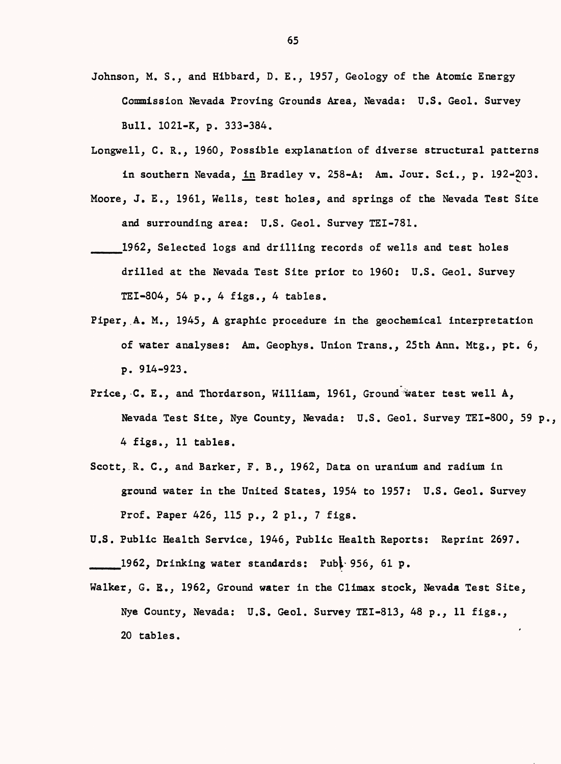- Johnson, M. S., and Hibbard, D. E., 1957, Geology of the Atomic Energy Commission Nevada Proving Grounds Area, Nevada: U.S. Geol. Survey Bull. 1021-K, p. 333-384.
- Longwell, C. R., 1960, Possible explanation of diverse structural patterns in southern Nevada, in Bradley v. 258-A: Am. Jour. Sci., p. 192-203.
- Moore, J. E., 1961, Wells, test holes, and springs of the Nevada Test Site and surrounding area: U.S. Geol. Survey TEI-781.
- \_\_\_1962, Selected logs and drilling records of wells and test holes drilled at the Nevada Test Site prior to 1960: U.S. Geol. Survey TEI-804, 54 p., 4 figs., 4 tables.
- Piper,.A. M., 1945, A graphic procedure in the geochemical interpretation of water analyses: Am. Geophys. Union Trans., 25th Ann. Mtg., pt. 6, p. 914-923.
- Price, C. E., and Thordarson, William, 1961, Ground water test well A, Nevada Test Site, Nye County, Nevada: U.S. Geol. Survey TEI-800, 59 p., 4 figs., 11 tables.
- Scott, R. C., and Barker, F. B., 1962, Data on uranium and radium in ground water in the United States, 1954 to 1957: U.S. Geol. Survey Prof. Paper 426, 115 p., 2 pi., 7 figs.
- U.S. Public Health Service, 1946, Public Health Reports: Reprint 2697. \_\_\_1962, Drinking water standards: Pub^ 956, 61 p.
- Walker, G. E., 1962, Ground water in the Climax stock, Nevada Test Site, Nye County, Nevada: U.S. Geol. Survey TEI-813, 48 p., 11 figs., 20 tables.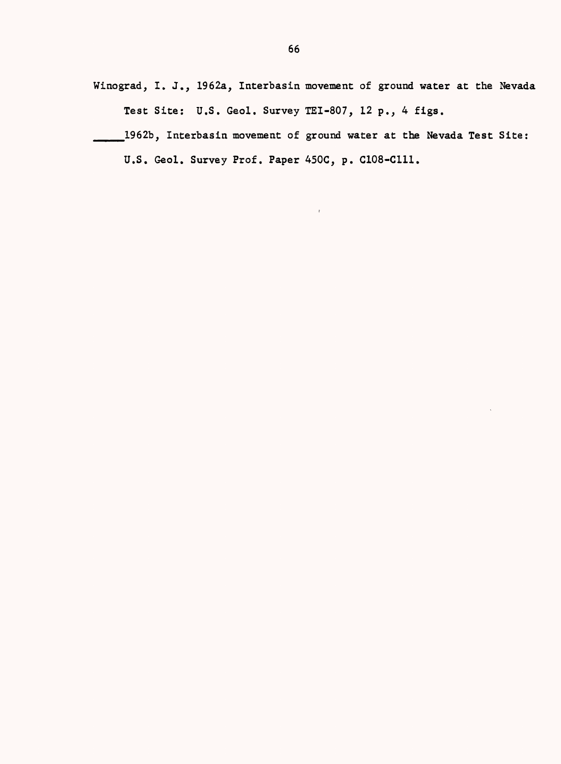Winograd, I. J., I962a, Interbasin movement of ground water at the Nevada Test Site: U.S. Geol. Survey TEI-807, 12 p., 4 figs.

\_\_\_1962b, Interbasin movement of ground water at the Nevada Test Site:

U.S. Geol. Survey Prof. Paper 450C, p. C108-C111.